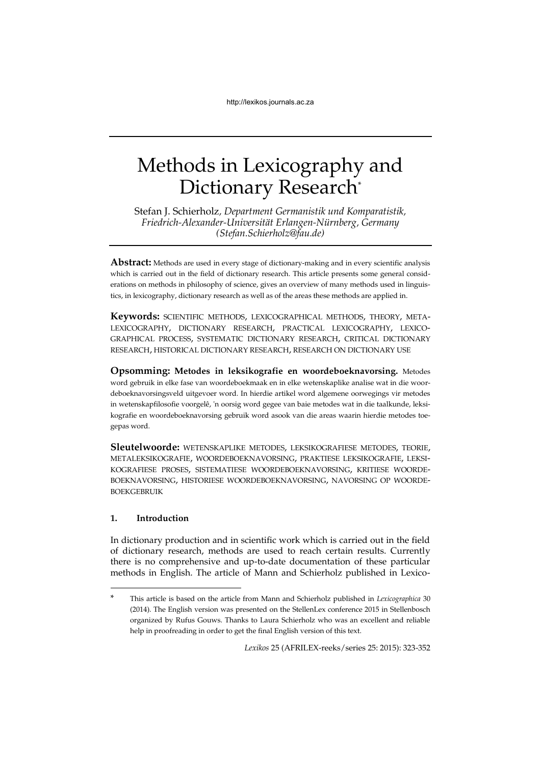# Methods in Lexicography and Dictionary Research\*

Stefan J. Schierholz*, Department Germanistik und Komparatistik, Friedrich-Alexander-Universität Erlangen-Nürnberg, Germany (Stefan.Schierholz@fau.de)*

**Abstract:** Methods are used in every stage of dictionary-making and in every scientific analysis which is carried out in the field of dictionary research. This article presents some general considerations on methods in philosophy of science, gives an overview of many methods used in linguistics, in lexicography, dictionary research as well as of the areas these methods are applied in.

**Keywords:** SCIENTIFIC METHODS, LEXICOGRAPHICAL METHODS, THEORY, META-LEXICOGRAPHY, DICTIONARY RESEARCH, PRACTICAL LEXICOGRAPHY, LEXICO-GRAPHICAL PROCESS, SYSTEMATIC DICTIONARY RESEARCH, CRITICAL DICTIONARY RESEARCH, HISTORICAL DICTIONARY RESEARCH, RESEARCH ON DICTIONARY USE

**Opsomming: Metodes in leksikografie en woordeboeknavorsing.** Metodes word gebruik in elke fase van woordeboekmaak en in elke wetenskaplike analise wat in die woordeboeknavorsingsveld uitgevoer word. In hierdie artikel word algemene oorwegings vir metodes in wetenskapfilosofie voorgelê, 'n oorsig word gegee van baie metodes wat in die taalkunde, leksikografie en woordeboeknavorsing gebruik word asook van die areas waarin hierdie metodes toegepas word.

**Sleutelwoorde:** WETENSKAPLIKE METODES, LEKSIKOGRAFIESE METODES, TEORIE, METALEKSIKOGRAFIE, WOORDEBOEKNAVORSING, PRAKTIESE LEKSIKOGRAFIE, LEKSI-KOGRAFIESE PROSES, SISTEMATIESE WOORDEBOEKNAVORSING, KRITIESE WOORDE-BOEKNAVORSING, HISTORIESE WOORDEBOEKNAVORSING, NAVORSING OP WOORDE-BOEKGEBRUIK

# **1. Introduction**

1

In dictionary production and in scientific work which is carried out in the field of dictionary research, methods are used to reach certain results. Currently there is no comprehensive and up-to-date documentation of these particular methods in English. The article of Mann and Schierholz published in Lexico-

*Lexikos* 25 (AFRILEX-reeks/series 25: 2015): 323-352

<sup>\*</sup> This article is based on the article from Mann and Schierholz published in *Lexicographica* 30 (2014). The English version was presented on the StellenLex conference 2015 in Stellenbosch organized by Rufus Gouws. Thanks to Laura Schierholz who was an excellent and reliable help in proofreading in order to get the final English version of this text.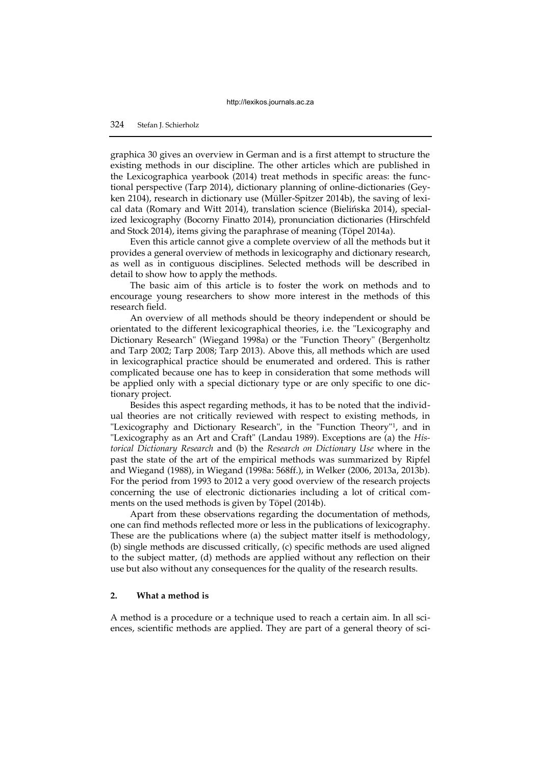graphica 30 gives an overview in German and is a first attempt to structure the existing methods in our discipline. The other articles which are published in the Lexicographica yearbook (2014) treat methods in specific areas: the functional perspective (Tarp 2014), dictionary planning of online-dictionaries (Geyken 2104), research in dictionary use (Müller-Spitzer 2014b), the saving of lexical data (Romary and Witt 2014), translation science (Bielińska 2014), specialized lexicography (Bocorny Finatto 2014), pronunciation dictionaries (Hirschfeld and Stock 2014), items giving the paraphrase of meaning (Töpel 2014a).

Even this article cannot give a complete overview of all the methods but it provides a general overview of methods in lexicography and dictionary research, as well as in contiguous disciplines. Selected methods will be described in detail to show how to apply the methods.

The basic aim of this article is to foster the work on methods and to encourage young researchers to show more interest in the methods of this research field.

An overview of all methods should be theory independent or should be orientated to the different lexicographical theories, i.e. the "Lexicography and Dictionary Research" (Wiegand 1998a) or the "Function Theory" (Bergenholtz and Tarp 2002; Tarp 2008; Tarp 2013). Above this, all methods which are used in lexicographical practice should be enumerated and ordered. This is rather complicated because one has to keep in consideration that some methods will be applied only with a special dictionary type or are only specific to one dictionary project.

Besides this aspect regarding methods, it has to be noted that the individual theories are not critically reviewed with respect to existing methods, in "Lexicography and Dictionary Research", in the "Function Theory"<sup>1</sup> , and in "Lexicography as an Art and Craft" (Landau 1989). Exceptions are (a) the *Historical Dictionary Research* and (b) the *Research on Dictionary Use* where in the past the state of the art of the empirical methods was summarized by Ripfel and Wiegand (1988), in Wiegand (1998a: 568ff.), in Welker (2006, 2013a, 2013b). For the period from 1993 to 2012 a very good overview of the research projects concerning the use of electronic dictionaries including a lot of critical comments on the used methods is given by Töpel (2014b).

Apart from these observations regarding the documentation of methods, one can find methods reflected more or less in the publications of lexicography. These are the publications where (a) the subject matter itself is methodology, (b) single methods are discussed critically, (c) specific methods are used aligned to the subject matter, (d) methods are applied without any reflection on their use but also without any consequences for the quality of the research results.

## **2. What a method is**

A method is a procedure or a technique used to reach a certain aim. In all sciences, scientific methods are applied. They are part of a general theory of sci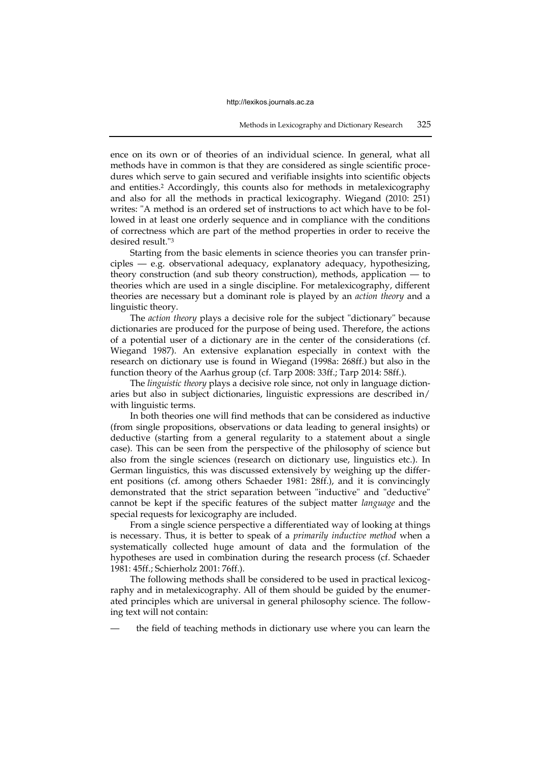ence on its own or of theories of an individual science. In general, what all methods have in common is that they are considered as single scientific procedures which serve to gain secured and verifiable insights into scientific objects and entities.<sup>2</sup> Accordingly, this counts also for methods in metalexicography and also for all the methods in practical lexicography. Wiegand (2010: 251) writes: "A method is an ordered set of instructions to act which have to be followed in at least one orderly sequence and in compliance with the conditions of correctness which are part of the method properties in order to receive the desired result."<sup>3</sup>

Starting from the basic elements in science theories you can transfer principles — e.g. observational adequacy, explanatory adequacy, hypothesizing, theory construction (and sub theory construction), methods, application — to theories which are used in a single discipline. For metalexicography, different theories are necessary but a dominant role is played by an *action theory* and a linguistic theory.

The *action theory* plays a decisive role for the subject "dictionary" because dictionaries are produced for the purpose of being used. Therefore, the actions of a potential user of a dictionary are in the center of the considerations (cf. Wiegand 1987). An extensive explanation especially in context with the research on dictionary use is found in Wiegand (1998a: 268ff.) but also in the function theory of the Aarhus group (cf. Tarp 2008: 33ff.; Tarp 2014: 58ff.).

The *linguistic theory* plays a decisive role since, not only in language dictionaries but also in subject dictionaries, linguistic expressions are described in/ with linguistic terms.

In both theories one will find methods that can be considered as inductive (from single propositions, observations or data leading to general insights) or deductive (starting from a general regularity to a statement about a single case). This can be seen from the perspective of the philosophy of science but also from the single sciences (research on dictionary use, linguistics etc.). In German linguistics, this was discussed extensively by weighing up the different positions (cf. among others Schaeder 1981: 28ff.), and it is convincingly demonstrated that the strict separation between "inductive" and "deductive" cannot be kept if the specific features of the subject matter *language* and the special requests for lexicography are included.

From a single science perspective a differentiated way of looking at things is necessary. Thus, it is better to speak of a *primarily inductive method* when a systematically collected huge amount of data and the formulation of the hypotheses are used in combination during the research process (cf. Schaeder 1981: 45ff.; Schierholz 2001: 76ff.).

The following methods shall be considered to be used in practical lexicography and in metalexicography. All of them should be guided by the enumerated principles which are universal in general philosophy science. The following text will not contain:

the field of teaching methods in dictionary use where you can learn the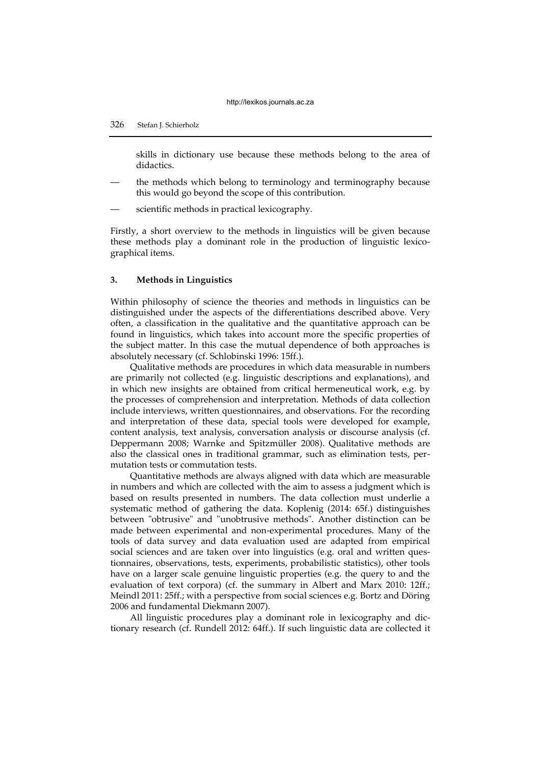# 326 Stefan J. Schierholz

skills in dictionary use because these methods belong to the area of didactics.

- the methods which belong to terminology and terminography because this would go beyond the scope of this contribution.
- scientific methods in practical lexicography.

Firstly, a short overview to the methods in linguistics will be given because these methods play a dominant role in the production of linguistic lexicographical items.

## **3. Methods in Linguistics**

Within philosophy of science the theories and methods in linguistics can be distinguished under the aspects of the differentiations described above. Very often, a classification in the qualitative and the quantitative approach can be found in linguistics, which takes into account more the specific properties of the subject matter. In this case the mutual dependence of both approaches is absolutely necessary (cf. Schlobinski 1996: 15ff.).

Qualitative methods are procedures in which data measurable in numbers are primarily not collected (e.g. linguistic descriptions and explanations), and in which new insights are obtained from critical hermeneutical work, e.g. by the processes of comprehension and interpretation. Methods of data collection include interviews, written questionnaires, and observations. For the recording and interpretation of these data, special tools were developed for example, content analysis, text analysis, conversation analysis or discourse analysis (cf. Deppermann 2008; Warnke and Spitzmüller 2008). Qualitative methods are also the classical ones in traditional grammar, such as elimination tests, permutation tests or commutation tests.

Quantitative methods are always aligned with data which are measurable in numbers and which are collected with the aim to assess a judgment which is based on results presented in numbers. The data collection must underlie a systematic method of gathering the data. Koplenig (2014: 65f.) distinguishes between "obtrusive" and "unobtrusive methods". Another distinction can be made between experimental and non-experimental procedures. Many of the tools of data survey and data evaluation used are adapted from empirical social sciences and are taken over into linguistics (e.g. oral and written questionnaires, observations, tests, experiments, probabilistic statistics), other tools have on a larger scale genuine linguistic properties (e.g. the query to and the evaluation of text corpora) (cf. the summary in Albert and Marx 2010: 12ff.; Meindl 2011: 25ff.; with a perspective from social sciences e.g. Bortz and Döring 2006 and fundamental Diekmann 2007).

All linguistic procedures play a dominant role in lexicography and dictionary research (cf. Rundell 2012: 64ff.). If such linguistic data are collected it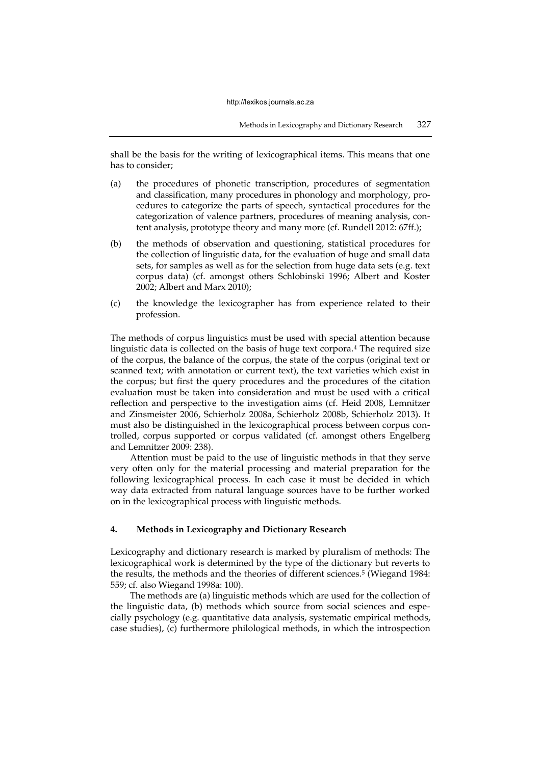shall be the basis for the writing of lexicographical items. This means that one has to consider;

- (a) the procedures of phonetic transcription, procedures of segmentation and classification, many procedures in phonology and morphology, procedures to categorize the parts of speech, syntactical procedures for the categorization of valence partners, procedures of meaning analysis, content analysis, prototype theory and many more (cf. Rundell 2012: 67ff.);
- (b) the methods of observation and questioning, statistical procedures for the collection of linguistic data, for the evaluation of huge and small data sets, for samples as well as for the selection from huge data sets (e.g. text corpus data) (cf. amongst others Schlobinski 1996; Albert and Koster 2002; Albert and Marx 2010);
- (c) the knowledge the lexicographer has from experience related to their profession.

The methods of corpus linguistics must be used with special attention because linguistic data is collected on the basis of huge text corpora.<sup>4</sup> The required size of the corpus, the balance of the corpus, the state of the corpus (original text or scanned text; with annotation or current text), the text varieties which exist in the corpus; but first the query procedures and the procedures of the citation evaluation must be taken into consideration and must be used with a critical reflection and perspective to the investigation aims (cf. Heid 2008, Lemnitzer and Zinsmeister 2006, Schierholz 2008a, Schierholz 2008b, Schierholz 2013). It must also be distinguished in the lexicographical process between corpus controlled, corpus supported or corpus validated (cf. amongst others Engelberg and Lemnitzer 2009: 238).

Attention must be paid to the use of linguistic methods in that they serve very often only for the material processing and material preparation for the following lexicographical process. In each case it must be decided in which way data extracted from natural language sources have to be further worked on in the lexicographical process with linguistic methods.

# **4. Methods in Lexicography and Dictionary Research**

Lexicography and dictionary research is marked by pluralism of methods: The lexicographical work is determined by the type of the dictionary but reverts to the results, the methods and the theories of different sciences.<sup>5</sup> (Wiegand 1984: 559; cf. also Wiegand 1998a: 100).

The methods are (a) linguistic methods which are used for the collection of the linguistic data, (b) methods which source from social sciences and especially psychology (e.g. quantitative data analysis, systematic empirical methods, case studies), (c) furthermore philological methods, in which the introspection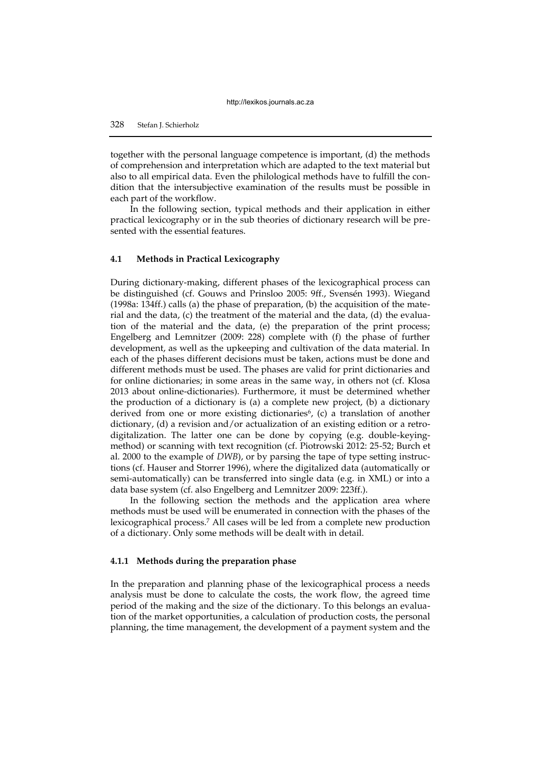together with the personal language competence is important, (d) the methods of comprehension and interpretation which are adapted to the text material but also to all empirical data. Even the philological methods have to fulfill the condition that the intersubjective examination of the results must be possible in each part of the workflow.

In the following section, typical methods and their application in either practical lexicography or in the sub theories of dictionary research will be presented with the essential features.

## **4.1 Methods in Practical Lexicography**

During dictionary-making, different phases of the lexicographical process can be distinguished (cf. Gouws and Prinsloo 2005: 9ff., Svensén 1993). Wiegand (1998a: 134ff.) calls (a) the phase of preparation, (b) the acquisition of the material and the data, (c) the treatment of the material and the data, (d) the evaluation of the material and the data, (e) the preparation of the print process; Engelberg and Lemnitzer (2009: 228) complete with (f) the phase of further development, as well as the upkeeping and cultivation of the data material. In each of the phases different decisions must be taken, actions must be done and different methods must be used. The phases are valid for print dictionaries and for online dictionaries; in some areas in the same way, in others not (cf. Klosa 2013 about online-dictionaries). Furthermore, it must be determined whether the production of a dictionary is (a) a complete new project,  $(b)$  a dictionary derived from one or more existing dictionaries<sup>6</sup>, (c) a translation of another dictionary, (d) a revision and/or actualization of an existing edition or a retrodigitalization. The latter one can be done by copying (e.g. double-keyingmethod) or scanning with text recognition (cf. Piotrowski 2012: 25-52; Burch et al. 2000 to the example of *DWB*), or by parsing the tape of type setting instructions (cf. Hauser and Storrer 1996), where the digitalized data (automatically or semi-automatically) can be transferred into single data (e.g. in XML) or into a data base system (cf. also Engelberg and Lemnitzer 2009: 223ff.).

In the following section the methods and the application area where methods must be used will be enumerated in connection with the phases of the lexicographical process.<sup>7</sup> All cases will be led from a complete new production of a dictionary. Only some methods will be dealt with in detail.

## **4.1.1 Methods during the preparation phase**

In the preparation and planning phase of the lexicographical process a needs analysis must be done to calculate the costs, the work flow, the agreed time period of the making and the size of the dictionary. To this belongs an evaluation of the market opportunities, a calculation of production costs, the personal planning, the time management, the development of a payment system and the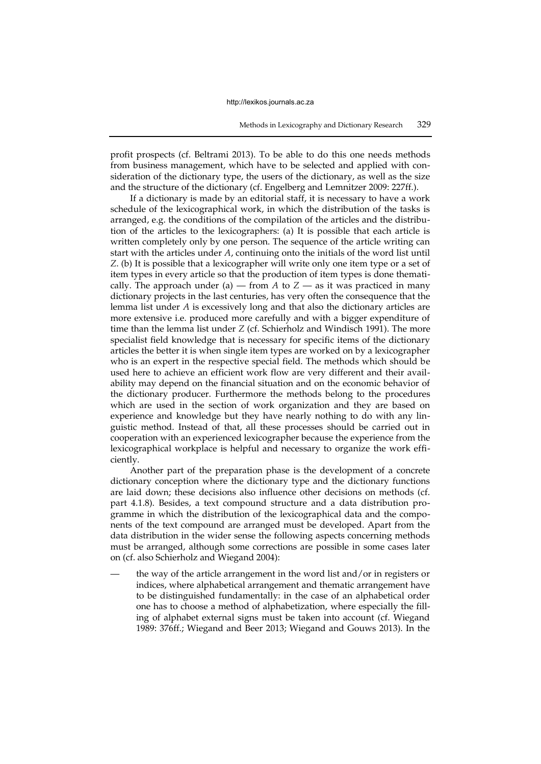profit prospects (cf. Beltrami 2013). To be able to do this one needs methods from business management, which have to be selected and applied with consideration of the dictionary type, the users of the dictionary, as well as the size and the structure of the dictionary (cf. Engelberg and Lemnitzer 2009: 227ff.).

If a dictionary is made by an editorial staff, it is necessary to have a work schedule of the lexicographical work, in which the distribution of the tasks is arranged, e.g. the conditions of the compilation of the articles and the distribution of the articles to the lexicographers: (a) It is possible that each article is written completely only by one person. The sequence of the article writing can start with the articles under *A*, continuing onto the initials of the word list until *Z*. (b) It is possible that a lexicographer will write only one item type or a set of item types in every article so that the production of item types is done thematically. The approach under (a) — from  $A$  to  $Z$  — as it was practiced in many dictionary projects in the last centuries, has very often the consequence that the lemma list under *A* is excessively long and that also the dictionary articles are more extensive i.e. produced more carefully and with a bigger expenditure of time than the lemma list under *Z* (cf. Schierholz and Windisch 1991). The more specialist field knowledge that is necessary for specific items of the dictionary articles the better it is when single item types are worked on by a lexicographer who is an expert in the respective special field. The methods which should be used here to achieve an efficient work flow are very different and their availability may depend on the financial situation and on the economic behavior of the dictionary producer. Furthermore the methods belong to the procedures which are used in the section of work organization and they are based on experience and knowledge but they have nearly nothing to do with any linguistic method. Instead of that, all these processes should be carried out in cooperation with an experienced lexicographer because the experience from the lexicographical workplace is helpful and necessary to organize the work efficiently.

Another part of the preparation phase is the development of a concrete dictionary conception where the dictionary type and the dictionary functions are laid down; these decisions also influence other decisions on methods (cf. part 4.1.8). Besides, a text compound structure and a data distribution programme in which the distribution of the lexicographical data and the components of the text compound are arranged must be developed. Apart from the data distribution in the wider sense the following aspects concerning methods must be arranged, although some corrections are possible in some cases later on (cf. also Schierholz and Wiegand 2004):

the way of the article arrangement in the word list and/or in registers or indices, where alphabetical arrangement and thematic arrangement have to be distinguished fundamentally: in the case of an alphabetical order one has to choose a method of alphabetization, where especially the filling of alphabet external signs must be taken into account (cf. Wiegand 1989: 376ff.; Wiegand and Beer 2013; Wiegand and Gouws 2013). In the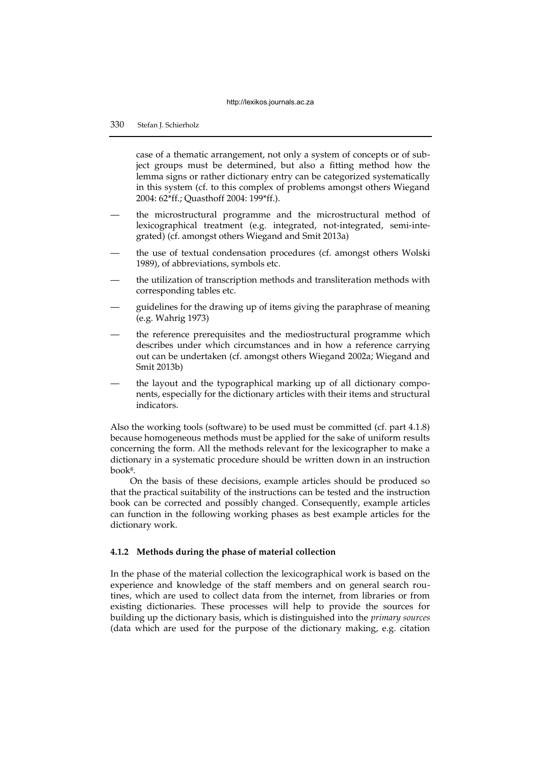case of a thematic arrangement, not only a system of concepts or of subject groups must be determined, but also a fitting method how the lemma signs or rather dictionary entry can be categorized systematically in this system (cf. to this complex of problems amongst others Wiegand 2004: 62\*ff.; Quasthoff 2004: 199\*ff.).

- the microstructural programme and the microstructural method of lexicographical treatment (e.g. integrated, not-integrated, semi-integrated) (cf. amongst others Wiegand and Smit 2013a)
- the use of textual condensation procedures (cf. amongst others Wolski 1989), of abbreviations, symbols etc.
- the utilization of transcription methods and transliteration methods with corresponding tables etc.
- guidelines for the drawing up of items giving the paraphrase of meaning (e.g. Wahrig 1973)
- the reference prerequisites and the mediostructural programme which describes under which circumstances and in how a reference carrying out can be undertaken (cf. amongst others Wiegand 2002a; Wiegand and Smit 2013b)
- the layout and the typographical marking up of all dictionary components, especially for the dictionary articles with their items and structural indicators.

Also the working tools (software) to be used must be committed (cf. part 4.1.8) because homogeneous methods must be applied for the sake of uniform results concerning the form. All the methods relevant for the lexicographer to make a dictionary in a systematic procedure should be written down in an instruction book<sup>8</sup> .

On the basis of these decisions, example articles should be produced so that the practical suitability of the instructions can be tested and the instruction book can be corrected and possibly changed. Consequently, example articles can function in the following working phases as best example articles for the dictionary work.

## **4.1.2 Methods during the phase of material collection**

In the phase of the material collection the lexicographical work is based on the experience and knowledge of the staff members and on general search routines, which are used to collect data from the internet, from libraries or from existing dictionaries. These processes will help to provide the sources for building up the dictionary basis, which is distinguished into the *primary sources* (data which are used for the purpose of the dictionary making, e.g. citation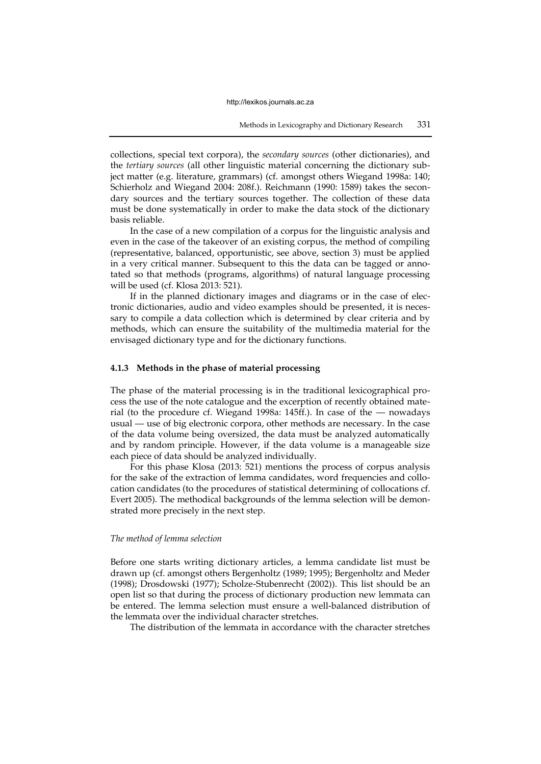collections, special text corpora), the *secondary sources* (other dictionaries), and the *tertiary sources* (all other linguistic material concerning the dictionary subject matter (e.g. literature, grammars) (cf. amongst others Wiegand 1998a: 140; Schierholz and Wiegand 2004: 208f.). Reichmann (1990: 1589) takes the secondary sources and the tertiary sources together. The collection of these data must be done systematically in order to make the data stock of the dictionary basis reliable.

In the case of a new compilation of a corpus for the linguistic analysis and even in the case of the takeover of an existing corpus, the method of compiling (representative, balanced, opportunistic, see above, section 3) must be applied in a very critical manner. Subsequent to this the data can be tagged or annotated so that methods (programs, algorithms) of natural language processing will be used (cf. Klosa 2013: 521).

If in the planned dictionary images and diagrams or in the case of electronic dictionaries, audio and video examples should be presented, it is necessary to compile a data collection which is determined by clear criteria and by methods, which can ensure the suitability of the multimedia material for the envisaged dictionary type and for the dictionary functions.

## **4.1.3 Methods in the phase of material processing**

The phase of the material processing is in the traditional lexicographical process the use of the note catalogue and the excerption of recently obtained material (to the procedure cf. Wiegand 1998a: 145ff.). In case of the — nowadays usual — use of big electronic corpora, other methods are necessary. In the case of the data volume being oversized, the data must be analyzed automatically and by random principle. However, if the data volume is a manageable size each piece of data should be analyzed individually.

For this phase Klosa (2013: 521) mentions the process of corpus analysis for the sake of the extraction of lemma candidates, word frequencies and collocation candidates (to the procedures of statistical determining of collocations cf. Evert 2005). The methodical backgrounds of the lemma selection will be demonstrated more precisely in the next step.

#### *The method of lemma selection*

Before one starts writing dictionary articles, a lemma candidate list must be drawn up (cf. amongst others Bergenholtz (1989; 1995); Bergenholtz and Meder (1998); Drosdowski (1977); Scholze-Stubenrecht (2002)). This list should be an open list so that during the process of dictionary production new lemmata can be entered. The lemma selection must ensure a well-balanced distribution of the lemmata over the individual character stretches.

The distribution of the lemmata in accordance with the character stretches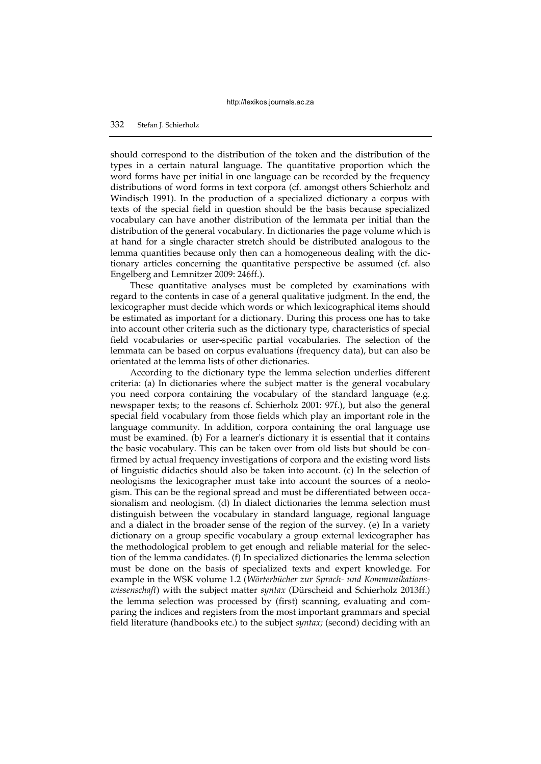should correspond to the distribution of the token and the distribution of the types in a certain natural language. The quantitative proportion which the word forms have per initial in one language can be recorded by the frequency distributions of word forms in text corpora (cf. amongst others Schierholz and Windisch 1991). In the production of a specialized dictionary a corpus with texts of the special field in question should be the basis because specialized vocabulary can have another distribution of the lemmata per initial than the distribution of the general vocabulary. In dictionaries the page volume which is at hand for a single character stretch should be distributed analogous to the lemma quantities because only then can a homogeneous dealing with the dictionary articles concerning the quantitative perspective be assumed (cf. also Engelberg and Lemnitzer 2009: 246ff.).

These quantitative analyses must be completed by examinations with regard to the contents in case of a general qualitative judgment. In the end, the lexicographer must decide which words or which lexicographical items should be estimated as important for a dictionary. During this process one has to take into account other criteria such as the dictionary type, characteristics of special field vocabularies or user-specific partial vocabularies. The selection of the lemmata can be based on corpus evaluations (frequency data), but can also be orientated at the lemma lists of other dictionaries.

According to the dictionary type the lemma selection underlies different criteria: (a) In dictionaries where the subject matter is the general vocabulary you need corpora containing the vocabulary of the standard language (e.g. newspaper texts; to the reasons cf. Schierholz 2001: 97f.), but also the general special field vocabulary from those fields which play an important role in the language community. In addition, corpora containing the oral language use must be examined. (b) For a learner's dictionary it is essential that it contains the basic vocabulary. This can be taken over from old lists but should be confirmed by actual frequency investigations of corpora and the existing word lists of linguistic didactics should also be taken into account. (c) In the selection of neologisms the lexicographer must take into account the sources of a neologism. This can be the regional spread and must be differentiated between occasionalism and neologism. (d) In dialect dictionaries the lemma selection must distinguish between the vocabulary in standard language, regional language and a dialect in the broader sense of the region of the survey. (e) In a variety dictionary on a group specific vocabulary a group external lexicographer has the methodological problem to get enough and reliable material for the selection of the lemma candidates. (f) In specialized dictionaries the lemma selection must be done on the basis of specialized texts and expert knowledge. For example in the WSK volume 1.2 (*Wörterbücher zur Sprach- und Kommunikationswissenschaft*) with the subject matter *syntax* (Dürscheid and Schierholz 2013ff.) the lemma selection was processed by (first) scanning, evaluating and comparing the indices and registers from the most important grammars and special field literature (handbooks etc.) to the subject *syntax;* (second) deciding with an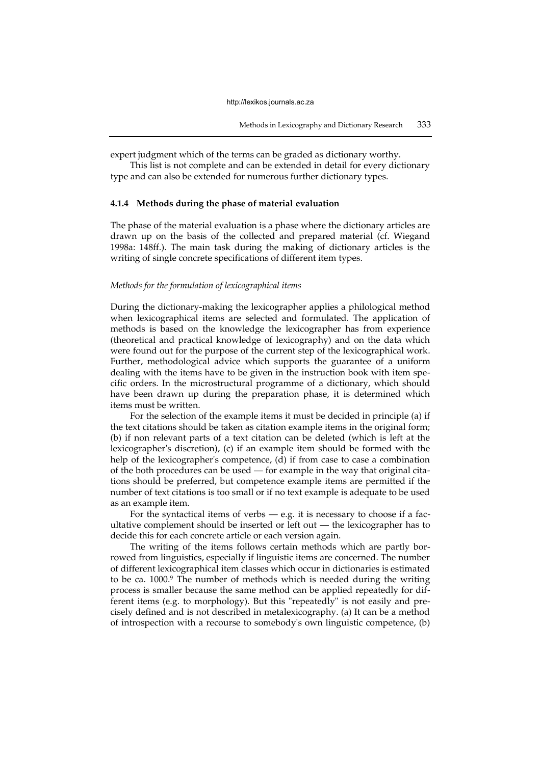expert judgment which of the terms can be graded as dictionary worthy.

This list is not complete and can be extended in detail for every dictionary type and can also be extended for numerous further dictionary types.

## **4.1.4 Methods during the phase of material evaluation**

The phase of the material evaluation is a phase where the dictionary articles are drawn up on the basis of the collected and prepared material (cf. Wiegand 1998a: 148ff.). The main task during the making of dictionary articles is the writing of single concrete specifications of different item types.

## *Methods for the formulation of lexicographical items*

During the dictionary-making the lexicographer applies a philological method when lexicographical items are selected and formulated. The application of methods is based on the knowledge the lexicographer has from experience (theoretical and practical knowledge of lexicography) and on the data which were found out for the purpose of the current step of the lexicographical work. Further, methodological advice which supports the guarantee of a uniform dealing with the items have to be given in the instruction book with item specific orders. In the microstructural programme of a dictionary, which should have been drawn up during the preparation phase, it is determined which items must be written.

For the selection of the example items it must be decided in principle (a) if the text citations should be taken as citation example items in the original form; (b) if non relevant parts of a text citation can be deleted (which is left at the lexicographer's discretion), (c) if an example item should be formed with the help of the lexicographer's competence, (d) if from case to case a combination of the both procedures can be used — for example in the way that original citations should be preferred, but competence example items are permitted if the number of text citations is too small or if no text example is adequate to be used as an example item.

For the syntactical items of verbs  $-$  e.g. it is necessary to choose if a facultative complement should be inserted or left out — the lexicographer has to decide this for each concrete article or each version again.

The writing of the items follows certain methods which are partly borrowed from linguistics, especially if linguistic items are concerned. The number of different lexicographical item classes which occur in dictionaries is estimated to be ca. 1000.<sup>9</sup> The number of methods which is needed during the writing process is smaller because the same method can be applied repeatedly for different items (e.g. to morphology). But this "repeatedly" is not easily and precisely defined and is not described in metalexicography. (a) It can be a method of introspection with a recourse to somebody's own linguistic competence, (b)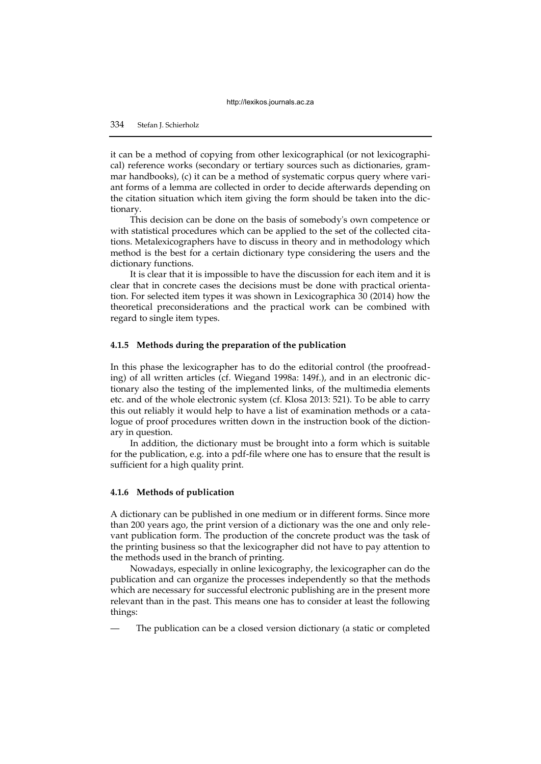it can be a method of copying from other lexicographical (or not lexicographical) reference works (secondary or tertiary sources such as dictionaries, grammar handbooks), (c) it can be a method of systematic corpus query where variant forms of a lemma are collected in order to decide afterwards depending on the citation situation which item giving the form should be taken into the dictionary.

This decision can be done on the basis of somebody's own competence or with statistical procedures which can be applied to the set of the collected citations. Metalexicographers have to discuss in theory and in methodology which method is the best for a certain dictionary type considering the users and the dictionary functions.

It is clear that it is impossible to have the discussion for each item and it is clear that in concrete cases the decisions must be done with practical orientation. For selected item types it was shown in Lexicographica 30 (2014) how the theoretical preconsiderations and the practical work can be combined with regard to single item types.

## **4.1.5 Methods during the preparation of the publication**

In this phase the lexicographer has to do the editorial control (the proofreading) of all written articles (cf. Wiegand 1998a: 149f.), and in an electronic dictionary also the testing of the implemented links, of the multimedia elements etc. and of the whole electronic system (cf. Klosa 2013: 521). To be able to carry this out reliably it would help to have a list of examination methods or a catalogue of proof procedures written down in the instruction book of the dictionary in question.

In addition, the dictionary must be brought into a form which is suitable for the publication, e.g. into a pdf-file where one has to ensure that the result is sufficient for a high quality print.

## **4.1.6 Methods of publication**

A dictionary can be published in one medium or in different forms. Since more than 200 years ago, the print version of a dictionary was the one and only relevant publication form. The production of the concrete product was the task of the printing business so that the lexicographer did not have to pay attention to the methods used in the branch of printing.

Nowadays, especially in online lexicography, the lexicographer can do the publication and can organize the processes independently so that the methods which are necessary for successful electronic publishing are in the present more relevant than in the past. This means one has to consider at least the following things:

The publication can be a closed version dictionary (a static or completed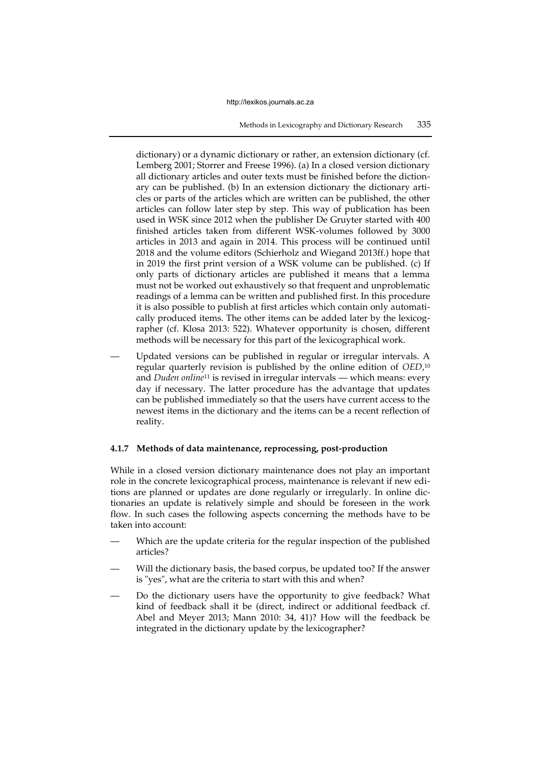dictionary) or a dynamic dictionary or rather, an extension dictionary (cf. Lemberg 2001; Storrer and Freese 1996). (a) In a closed version dictionary all dictionary articles and outer texts must be finished before the dictionary can be published. (b) In an extension dictionary the dictionary articles or parts of the articles which are written can be published, the other articles can follow later step by step. This way of publication has been used in WSK since 2012 when the publisher De Gruyter started with 400 finished articles taken from different WSK-volumes followed by 3000 articles in 2013 and again in 2014. This process will be continued until 2018 and the volume editors (Schierholz and Wiegand 2013ff.) hope that in 2019 the first print version of a WSK volume can be published. (c) If only parts of dictionary articles are published it means that a lemma must not be worked out exhaustively so that frequent and unproblematic readings of a lemma can be written and published first. In this procedure it is also possible to publish at first articles which contain only automatically produced items. The other items can be added later by the lexicographer (cf. Klosa 2013: 522). Whatever opportunity is chosen, different methods will be necessary for this part of the lexicographical work.

Updated versions can be published in regular or irregular intervals. A regular quarterly revision is published by the online edition of *OED*, 10 and *Duden online*11 is revised in irregular intervals — which means: every day if necessary. The latter procedure has the advantage that updates can be published immediately so that the users have current access to the newest items in the dictionary and the items can be a recent reflection of reality.

## **4.1.7 Methods of data maintenance, reprocessing, post-production**

While in a closed version dictionary maintenance does not play an important role in the concrete lexicographical process, maintenance is relevant if new editions are planned or updates are done regularly or irregularly. In online dictionaries an update is relatively simple and should be foreseen in the work flow. In such cases the following aspects concerning the methods have to be taken into account:

- Which are the update criteria for the regular inspection of the published articles?
- Will the dictionary basis, the based corpus, be updated too? If the answer is "yes", what are the criteria to start with this and when?
- Do the dictionary users have the opportunity to give feedback? What kind of feedback shall it be (direct, indirect or additional feedback cf. Abel and Meyer 2013; Mann 2010: 34, 41)? How will the feedback be integrated in the dictionary update by the lexicographer?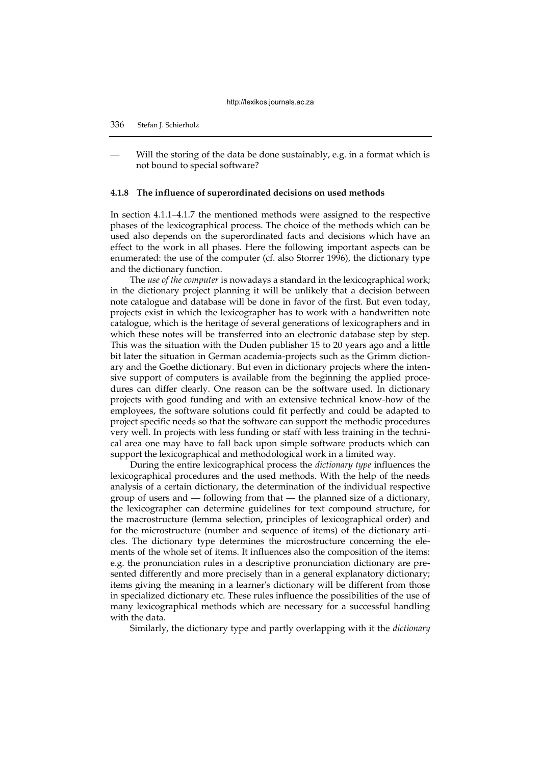# 336 Stefan J. Schierholz

Will the storing of the data be done sustainably, e.g. in a format which is not bound to special software?

## **4.1.8 The influence of superordinated decisions on used methods**

In section 4.1.1–4.1.7 the mentioned methods were assigned to the respective phases of the lexicographical process. The choice of the methods which can be used also depends on the superordinated facts and decisions which have an effect to the work in all phases. Here the following important aspects can be enumerated: the use of the computer (cf. also Storrer 1996), the dictionary type and the dictionary function.

The *use of the computer* is nowadays a standard in the lexicographical work; in the dictionary project planning it will be unlikely that a decision between note catalogue and database will be done in favor of the first. But even today, projects exist in which the lexicographer has to work with a handwritten note catalogue, which is the heritage of several generations of lexicographers and in which these notes will be transferred into an electronic database step by step. This was the situation with the Duden publisher 15 to 20 years ago and a little bit later the situation in German academia-projects such as the Grimm dictionary and the Goethe dictionary. But even in dictionary projects where the intensive support of computers is available from the beginning the applied procedures can differ clearly. One reason can be the software used. In dictionary projects with good funding and with an extensive technical know-how of the employees, the software solutions could fit perfectly and could be adapted to project specific needs so that the software can support the methodic procedures very well. In projects with less funding or staff with less training in the technical area one may have to fall back upon simple software products which can support the lexicographical and methodological work in a limited way.

During the entire lexicographical process the *dictionary type* influences the lexicographical procedures and the used methods. With the help of the needs analysis of a certain dictionary, the determination of the individual respective group of users and — following from that — the planned size of a dictionary, the lexicographer can determine guidelines for text compound structure, for the macrostructure (lemma selection, principles of lexicographical order) and for the microstructure (number and sequence of items) of the dictionary articles. The dictionary type determines the microstructure concerning the elements of the whole set of items. It influences also the composition of the items: e.g. the pronunciation rules in a descriptive pronunciation dictionary are presented differently and more precisely than in a general explanatory dictionary; items giving the meaning in a learner's dictionary will be different from those in specialized dictionary etc. These rules influence the possibilities of the use of many lexicographical methods which are necessary for a successful handling with the data.

Similarly, the dictionary type and partly overlapping with it the *dictionary*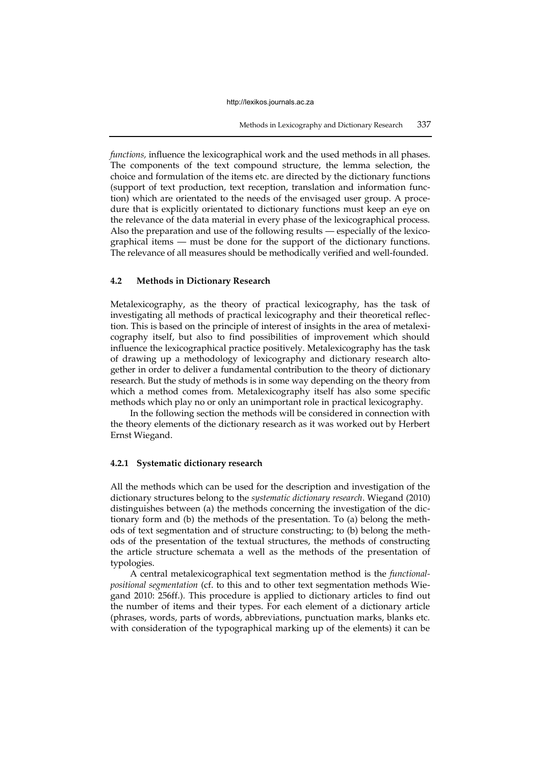*functions,* influence the lexicographical work and the used methods in all phases. The components of the text compound structure, the lemma selection, the choice and formulation of the items etc. are directed by the dictionary functions (support of text production, text reception, translation and information function) which are orientated to the needs of the envisaged user group. A procedure that is explicitly orientated to dictionary functions must keep an eye on the relevance of the data material in every phase of the lexicographical process. Also the preparation and use of the following results — especially of the lexicographical items — must be done for the support of the dictionary functions. The relevance of all measures should be methodically verified and well-founded.

## **4.2 Methods in Dictionary Research**

Metalexicography, as the theory of practical lexicography, has the task of investigating all methods of practical lexicography and their theoretical reflection. This is based on the principle of interest of insights in the area of metalexicography itself, but also to find possibilities of improvement which should influence the lexicographical practice positively. Metalexicography has the task of drawing up a methodology of lexicography and dictionary research altogether in order to deliver a fundamental contribution to the theory of dictionary research. But the study of methods is in some way depending on the theory from which a method comes from. Metalexicography itself has also some specific methods which play no or only an unimportant role in practical lexicography.

In the following section the methods will be considered in connection with the theory elements of the dictionary research as it was worked out by Herbert Ernst Wiegand.

# **4.2.1 Systematic dictionary research**

All the methods which can be used for the description and investigation of the dictionary structures belong to the *systematic dictionary research*. Wiegand (2010) distinguishes between (a) the methods concerning the investigation of the dictionary form and (b) the methods of the presentation. To (a) belong the methods of text segmentation and of structure constructing; to (b) belong the methods of the presentation of the textual structures, the methods of constructing the article structure schemata a well as the methods of the presentation of typologies.

A central metalexicographical text segmentation method is the *functionalpositional segmentation* (cf. to this and to other text segmentation methods Wiegand 2010: 256ff.)*.* This procedure is applied to dictionary articles to find out the number of items and their types. For each element of a dictionary article (phrases, words, parts of words, abbreviations, punctuation marks, blanks etc. with consideration of the typographical marking up of the elements) it can be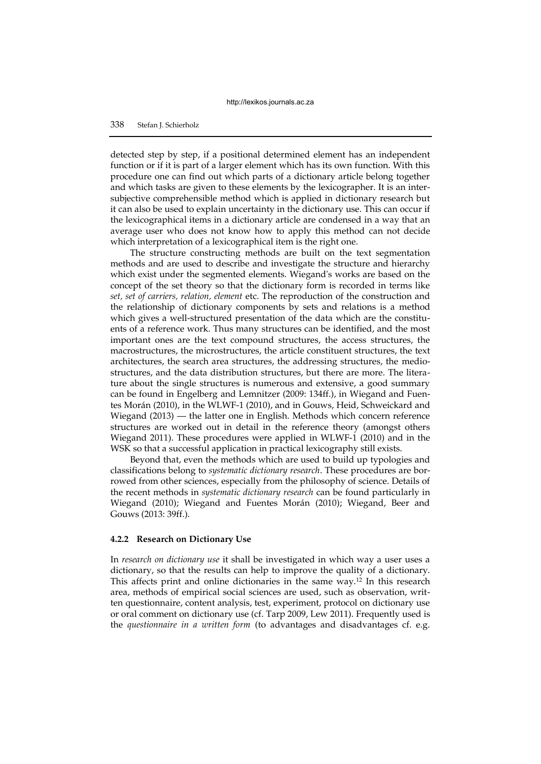detected step by step, if a positional determined element has an independent function or if it is part of a larger element which has its own function. With this procedure one can find out which parts of a dictionary article belong together and which tasks are given to these elements by the lexicographer. It is an intersubjective comprehensible method which is applied in dictionary research but it can also be used to explain uncertainty in the dictionary use. This can occur if the lexicographical items in a dictionary article are condensed in a way that an average user who does not know how to apply this method can not decide which interpretation of a lexicographical item is the right one.

The structure constructing methods are built on the text segmentation methods and are used to describe and investigate the structure and hierarchy which exist under the segmented elements. Wiegand's works are based on the concept of the set theory so that the dictionary form is recorded in terms like *set, set of carriers, relation, element* etc. The reproduction of the construction and the relationship of dictionary components by sets and relations is a method which gives a well-structured presentation of the data which are the constituents of a reference work. Thus many structures can be identified, and the most important ones are the text compound structures, the access structures, the macrostructures, the microstructures, the article constituent structures, the text architectures, the search area structures, the addressing structures, the mediostructures, and the data distribution structures, but there are more. The literature about the single structures is numerous and extensive, a good summary can be found in Engelberg and Lemnitzer (2009: 134ff.), in Wiegand and Fuentes Morán (2010), in the WLWF-1 (2010), and in Gouws, Heid, Schweickard and Wiegand (2013) — the latter one in English. Methods which concern reference structures are worked out in detail in the reference theory (amongst others Wiegand 2011). These procedures were applied in WLWF-1 (2010) and in the WSK so that a successful application in practical lexicography still exists.

Beyond that, even the methods which are used to build up typologies and classifications belong to *systematic dictionary research*. These procedures are borrowed from other sciences, especially from the philosophy of science. Details of the recent methods in *systematic dictionary research* can be found particularly in Wiegand (2010); Wiegand and Fuentes Morán (2010); Wiegand, Beer and Gouws (2013: 39ff.).

## **4.2.2 Research on Dictionary Use**

In *research on dictionary use* it shall be investigated in which way a user uses a dictionary, so that the results can help to improve the quality of a dictionary. This affects print and online dictionaries in the same way.<sup>12</sup> In this research area, methods of empirical social sciences are used, such as observation, written questionnaire, content analysis, test, experiment, protocol on dictionary use or oral comment on dictionary use (cf. Tarp 2009, Lew 2011). Frequently used is the *questionnaire in a written form* (to advantages and disadvantages cf. e.g.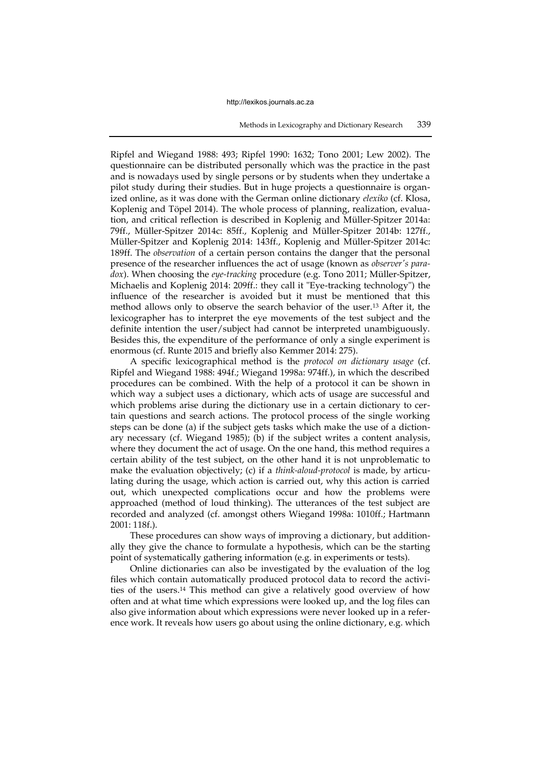Ripfel and Wiegand 1988: 493; Ripfel 1990: 1632; Tono 2001; Lew 2002). The questionnaire can be distributed personally which was the practice in the past and is nowadays used by single persons or by students when they undertake a pilot study during their studies. But in huge projects a questionnaire is organized online, as it was done with the German online dictionary *elexiko* (cf. Klosa, Koplenig and Töpel 2014). The whole process of planning, realization, evaluation, and critical reflection is described in Koplenig and Müller-Spitzer 2014a: 79ff., Müller-Spitzer 2014c: 85ff., Koplenig and Müller-Spitzer 2014b: 127ff., Müller-Spitzer and Koplenig 2014: 143ff., Koplenig and Müller-Spitzer 2014c: 189ff. The *observation* of a certain person contains the danger that the personal presence of the researcher influences the act of usage (known as *observer's paradox*). When choosing the *eye-tracking* procedure (e.g. Tono 2011; Müller-Spitzer, Michaelis and Koplenig 2014: 209ff.: they call it "Eye-tracking technology") the influence of the researcher is avoided but it must be mentioned that this method allows only to observe the search behavior of the user.13 After it, the lexicographer has to interpret the eye movements of the test subject and the definite intention the user/subject had cannot be interpreted unambiguously. Besides this, the expenditure of the performance of only a single experiment is enormous (cf. Runte 2015 and briefly also Kemmer 2014: 275).

A specific lexicographical method is the *protocol on dictionary usage* (cf. Ripfel and Wiegand 1988: 494f.; Wiegand 1998a: 974ff.), in which the described procedures can be combined. With the help of a protocol it can be shown in which way a subject uses a dictionary, which acts of usage are successful and which problems arise during the dictionary use in a certain dictionary to certain questions and search actions. The protocol process of the single working steps can be done (a) if the subject gets tasks which make the use of a dictionary necessary (cf. Wiegand 1985); (b) if the subject writes a content analysis, where they document the act of usage. On the one hand, this method requires a certain ability of the test subject, on the other hand it is not unproblematic to make the evaluation objectively; (c) if a *think-aloud-protocol* is made, by articulating during the usage, which action is carried out, why this action is carried out, which unexpected complications occur and how the problems were approached (method of loud thinking). The utterances of the test subject are recorded and analyzed (cf. amongst others Wiegand 1998a: 1010ff.; Hartmann 2001: 118f.).

These procedures can show ways of improving a dictionary, but additionally they give the chance to formulate a hypothesis, which can be the starting point of systematically gathering information (e.g. in experiments or tests).

Online dictionaries can also be investigated by the evaluation of the log files which contain automatically produced protocol data to record the activities of the users.14 This method can give a relatively good overview of how often and at what time which expressions were looked up, and the log files can also give information about which expressions were never looked up in a reference work. It reveals how users go about using the online dictionary, e.g. which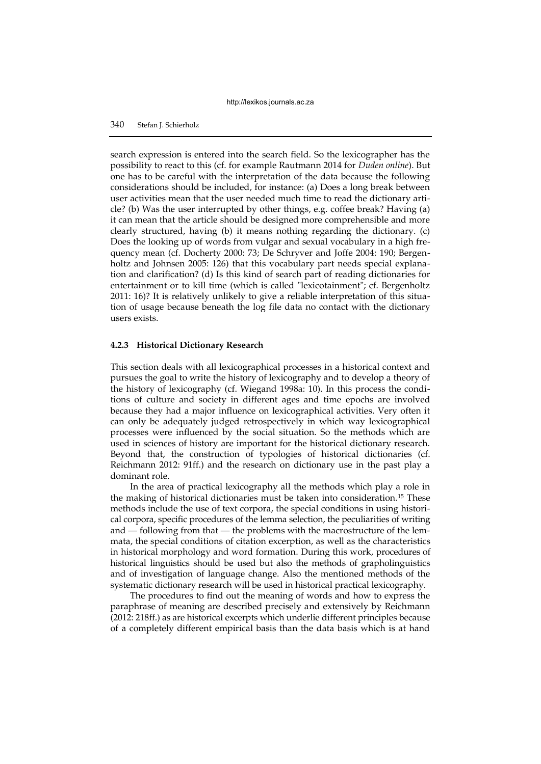# 340 Stefan J. Schierholz

search expression is entered into the search field. So the lexicographer has the possibility to react to this (cf. for example Rautmann 2014 for *Duden online*). But one has to be careful with the interpretation of the data because the following considerations should be included, for instance: (a) Does a long break between user activities mean that the user needed much time to read the dictionary article? (b) Was the user interrupted by other things, e.g. coffee break? Having (a) it can mean that the article should be designed more comprehensible and more clearly structured, having (b) it means nothing regarding the dictionary. (c) Does the looking up of words from vulgar and sexual vocabulary in a high frequency mean (cf. Docherty 2000: 73; De Schryver and Joffe 2004: 190; Bergenholtz and Johnsen 2005: 126) that this vocabulary part needs special explanation and clarification? (d) Is this kind of search part of reading dictionaries for entertainment or to kill time (which is called "lexicotainment"; cf. Bergenholtz 2011: 16)? It is relatively unlikely to give a reliable interpretation of this situation of usage because beneath the log file data no contact with the dictionary users exists.

## **4.2.3 Historical Dictionary Research**

This section deals with all lexicographical processes in a historical context and pursues the goal to write the history of lexicography and to develop a theory of the history of lexicography (cf. Wiegand 1998a: 10). In this process the conditions of culture and society in different ages and time epochs are involved because they had a major influence on lexicographical activities. Very often it can only be adequately judged retrospectively in which way lexicographical processes were influenced by the social situation. So the methods which are used in sciences of history are important for the historical dictionary research. Beyond that, the construction of typologies of historical dictionaries (cf. Reichmann 2012: 91ff.) and the research on dictionary use in the past play a dominant role.

In the area of practical lexicography all the methods which play a role in the making of historical dictionaries must be taken into consideration.15 These methods include the use of text corpora, the special conditions in using historical corpora, specific procedures of the lemma selection, the peculiarities of writing and — following from that — the problems with the macrostructure of the lemmata, the special conditions of citation excerption, as well as the characteristics in historical morphology and word formation. During this work, procedures of historical linguistics should be used but also the methods of grapholinguistics and of investigation of language change. Also the mentioned methods of the systematic dictionary research will be used in historical practical lexicography.

The procedures to find out the meaning of words and how to express the paraphrase of meaning are described precisely and extensively by Reichmann (2012: 218ff.) as are historical excerpts which underlie different principles because of a completely different empirical basis than the data basis which is at hand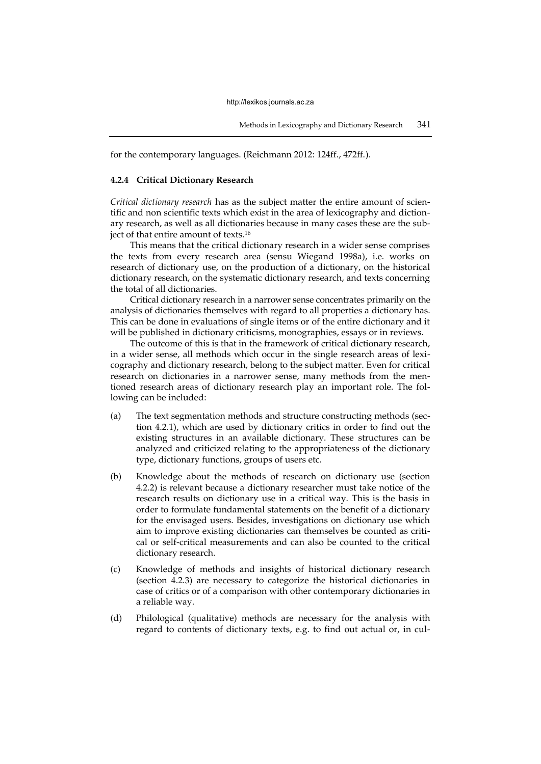for the contemporary languages. (Reichmann 2012: 124ff., 472ff.).

#### **4.2.4 Critical Dictionary Research**

*Critical dictionary research* has as the subject matter the entire amount of scientific and non scientific texts which exist in the area of lexicography and dictionary research, as well as all dictionaries because in many cases these are the subject of that entire amount of texts.<sup>16</sup>

This means that the critical dictionary research in a wider sense comprises the texts from every research area (sensu Wiegand 1998a), i.e. works on research of dictionary use, on the production of a dictionary, on the historical dictionary research, on the systematic dictionary research, and texts concerning the total of all dictionaries.

Critical dictionary research in a narrower sense concentrates primarily on the analysis of dictionaries themselves with regard to all properties a dictionary has. This can be done in evaluations of single items or of the entire dictionary and it will be published in dictionary criticisms, monographies, essays or in reviews.

The outcome of this is that in the framework of critical dictionary research, in a wider sense, all methods which occur in the single research areas of lexicography and dictionary research, belong to the subject matter. Even for critical research on dictionaries in a narrower sense, many methods from the mentioned research areas of dictionary research play an important role. The following can be included:

- (a) The text segmentation methods and structure constructing methods (section 4.2.1), which are used by dictionary critics in order to find out the existing structures in an available dictionary. These structures can be analyzed and criticized relating to the appropriateness of the dictionary type, dictionary functions, groups of users etc.
- (b) Knowledge about the methods of research on dictionary use (section 4.2.2) is relevant because a dictionary researcher must take notice of the research results on dictionary use in a critical way. This is the basis in order to formulate fundamental statements on the benefit of a dictionary for the envisaged users. Besides, investigations on dictionary use which aim to improve existing dictionaries can themselves be counted as critical or self-critical measurements and can also be counted to the critical dictionary research.
- (c) Knowledge of methods and insights of historical dictionary research (section 4.2.3) are necessary to categorize the historical dictionaries in case of critics or of a comparison with other contemporary dictionaries in a reliable way.
- (d) Philological (qualitative) methods are necessary for the analysis with regard to contents of dictionary texts, e.g. to find out actual or, in cul-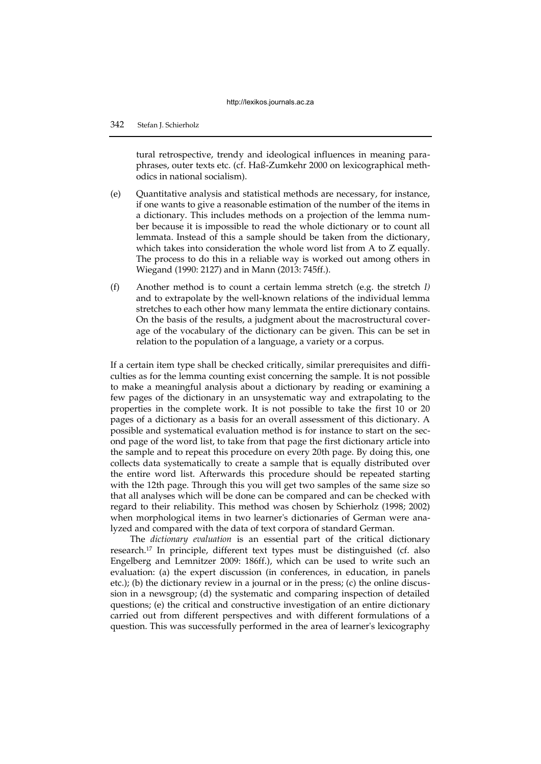tural retrospective, trendy and ideological influences in meaning paraphrases, outer texts etc. (cf. Haß-Zumkehr 2000 on lexicographical methodics in national socialism).

- (e) Quantitative analysis and statistical methods are necessary, for instance, if one wants to give a reasonable estimation of the number of the items in a dictionary. This includes methods on a projection of the lemma number because it is impossible to read the whole dictionary or to count all lemmata. Instead of this a sample should be taken from the dictionary, which takes into consideration the whole word list from A to Z equally. The process to do this in a reliable way is worked out among others in Wiegand (1990: 2127) and in Mann (2013: 745ff.).
- (f) Another method is to count a certain lemma stretch (e.g. the stretch *I)* and to extrapolate by the well-known relations of the individual lemma stretches to each other how many lemmata the entire dictionary contains. On the basis of the results, a judgment about the macrostructural coverage of the vocabulary of the dictionary can be given. This can be set in relation to the population of a language, a variety or a corpus.

If a certain item type shall be checked critically, similar prerequisites and difficulties as for the lemma counting exist concerning the sample. It is not possible to make a meaningful analysis about a dictionary by reading or examining a few pages of the dictionary in an unsystematic way and extrapolating to the properties in the complete work. It is not possible to take the first 10 or 20 pages of a dictionary as a basis for an overall assessment of this dictionary. A possible and systematical evaluation method is for instance to start on the second page of the word list, to take from that page the first dictionary article into the sample and to repeat this procedure on every 20th page. By doing this, one collects data systematically to create a sample that is equally distributed over the entire word list. Afterwards this procedure should be repeated starting with the 12th page. Through this you will get two samples of the same size so that all analyses which will be done can be compared and can be checked with regard to their reliability. This method was chosen by Schierholz (1998; 2002) when morphological items in two learner's dictionaries of German were analyzed and compared with the data of text corpora of standard German.

The *dictionary evaluation* is an essential part of the critical dictionary research.17 In principle, different text types must be distinguished (cf. also Engelberg and Lemnitzer 2009: 186ff.), which can be used to write such an evaluation: (a) the expert discussion (in conferences, in education, in panels etc.); (b) the dictionary review in a journal or in the press; (c) the online discussion in a newsgroup; (d) the systematic and comparing inspection of detailed questions; (e) the critical and constructive investigation of an entire dictionary carried out from different perspectives and with different formulations of a question. This was successfully performed in the area of learner's lexicography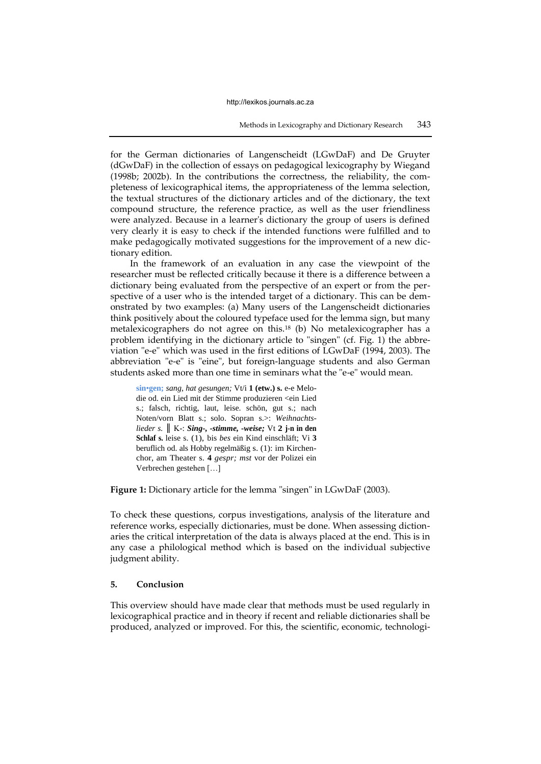for the German dictionaries of Langenscheidt (LGwDaF) and De Gruyter (dGwDaF) in the collection of essays on pedagogical lexicography by Wiegand (1998b; 2002b). In the contributions the correctness, the reliability, the completeness of lexicographical items, the appropriateness of the lemma selection, the textual structures of the dictionary articles and of the dictionary, the text compound structure, the reference practice, as well as the user friendliness were analyzed. Because in a learner's dictionary the group of users is defined very clearly it is easy to check if the intended functions were fulfilled and to make pedagogically motivated suggestions for the improvement of a new dictionary edition.

In the framework of an evaluation in any case the viewpoint of the researcher must be reflected critically because it there is a difference between a dictionary being evaluated from the perspective of an expert or from the perspective of a user who is the intended target of a dictionary. This can be demonstrated by two examples: (a) Many users of the Langenscheidt dictionaries think positively about the coloured typeface used for the lemma sign, but many metalexicographers do not agree on this.<sup>18</sup> (b) No metalexicographer has a problem identifying in the dictionary article to "singen" (cf. Fig. 1) the abbreviation "e-e" which was used in the first editions of LGwDaF (1994, 2003). The abbreviation "e-e" is "eine", but foreign-language students and also German students asked more than one time in seminars what the "e-e" would mean.

**sin**•**gen;** *sang, hat gesungen;* Vt/i **1 (etw.) s.** e-e Melodie od. ein Lied mit der Stimme produzieren <ein Lied s.; falsch, richtig, laut, leise. schön, gut s.; nach Noten/vorn Blatt s.; solo. Sopran s.>: *Weihnachtslieder s.* ║ K-: *Sing-, -stimme, -weise;* Vt **2 j-n in den Schlaf s.** leise s. (1), bis *bes* ein Kind einschläft; Vi **3** beruflich od. als Hobby regelmäßig s. (1): im Kirchenchor, am Theater s. **4** *gespr; mst* vor der Polizei ein Verbrechen gestehen […]

**Figure 1:** Dictionary article for the lemma "singen" in LGwDaF (2003).

To check these questions, corpus investigations, analysis of the literature and reference works, especially dictionaries, must be done. When assessing dictionaries the critical interpretation of the data is always placed at the end. This is in any case a philological method which is based on the individual subjective judgment ability.

# **5. Conclusion**

This overview should have made clear that methods must be used regularly in lexicographical practice and in theory if recent and reliable dictionaries shall be produced, analyzed or improved. For this, the scientific, economic, technologi-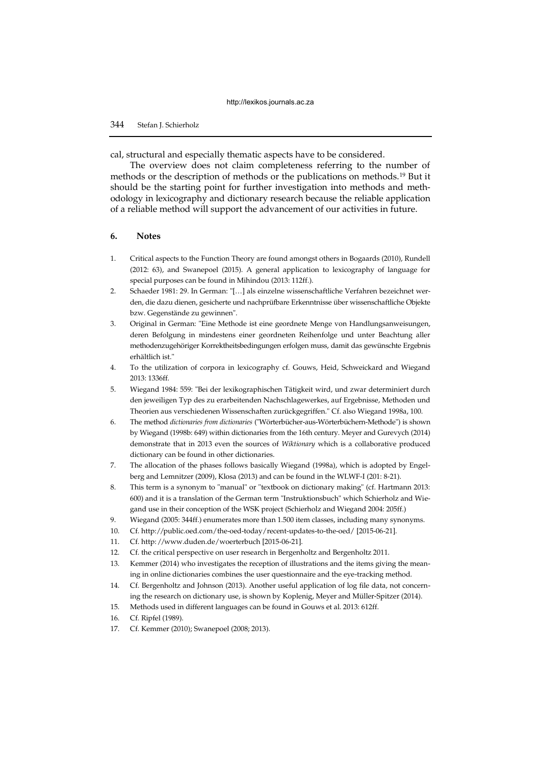cal, structural and especially thematic aspects have to be considered.

The overview does not claim completeness referring to the number of methods or the description of methods or the publications on methods.19 But it should be the starting point for further investigation into methods and methodology in lexicography and dictionary research because the reliable application of a reliable method will support the advancement of our activities in future.

## **6. Notes**

- 1. Critical aspects to the Function Theory are found amongst others in Bogaards (2010), Rundell (2012: 63), and Swanepoel (2015). A general application to lexicography of language for special purposes can be found in Mihindou (2013: 112ff.).
- 2. Schaeder 1981: 29. In German: "[…] als einzelne wissenschaftliche Verfahren bezeichnet werden, die dazu dienen, gesicherte und nachprüfbare Erkenntnisse über wissenschaftliche Objekte bzw. Gegenstände zu gewinnen".
- 3. Original in German: "Eine Methode ist eine geordnete Menge von Handlungsanweisungen, deren Befolgung in mindestens einer geordneten Reihenfolge und unter Beachtung aller methodenzugehöriger Korrektheitsbedingungen erfolgen muss, damit das gewünschte Ergebnis erhältlich ist."
- 4. To the utilization of corpora in lexicography cf. Gouws, Heid, Schweickard and Wiegand 2013: 1336ff.
- 5. Wiegand 1984: 559: "Bei der lexikographischen Tätigkeit wird, und zwar determiniert durch den jeweiligen Typ des zu erarbeitenden Nachschlagewerkes, auf Ergebnisse, Methoden und Theorien aus verschiedenen Wissenschaften zurückgegriffen." Cf. also Wiegand 1998a, 100.
- 6. The method *dictionaries from dictionaries* ("Wörterbücher-aus-Wörterbüchern-Methode") is shown by Wiegand (1998b: 649) within dictionaries from the 16th century. Meyer and Gurevych (2014) demonstrate that in 2013 even the sources of *Wiktionary* which is a collaborative produced dictionary can be found in other dictionaries.
- 7. The allocation of the phases follows basically Wiegand (1998a), which is adopted by Engelberg and Lemnitzer (2009), Klosa (2013) and can be found in the WLWF-I (201: 8-21).
- 8. This term is a synonym to "manual" or "textbook on dictionary making" (cf. Hartmann 2013: 600) and it is a translation of the German term "Instruktionsbuch" which Schierholz and Wiegand use in their conception of the WSK project (Schierholz and Wiegand 2004: 205ff.)
- 9. Wiegand (2005: 344ff.) enumerates more than 1.500 item classes, including many synonyms.
- 10. Cf. http://public.oed.com/the-oed-today/recent-updates-to-the-oed/ [2015-06-21].
- 11. Cf. http: //www.duden.de/woerterbuch [2015-06-21].
- 12. Cf. the critical perspective on user research in Bergenholtz and Bergenholtz 2011.
- 13. Kemmer (2014) who investigates the reception of illustrations and the items giving the meaning in online dictionaries combines the user questionnaire and the eye-tracking method.
- 14. Cf. Bergenholtz and Johnson (2013). Another useful application of log file data, not concerning the research on dictionary use, is shown by Koplenig, Meyer and Müller-Spitzer (2014).
- 15. Methods used in different languages can be found in Gouws et al. 2013: 612ff.
- 16. Cf. Ripfel (1989).
- 17. Cf. Kemmer (2010); Swanepoel (2008; 2013).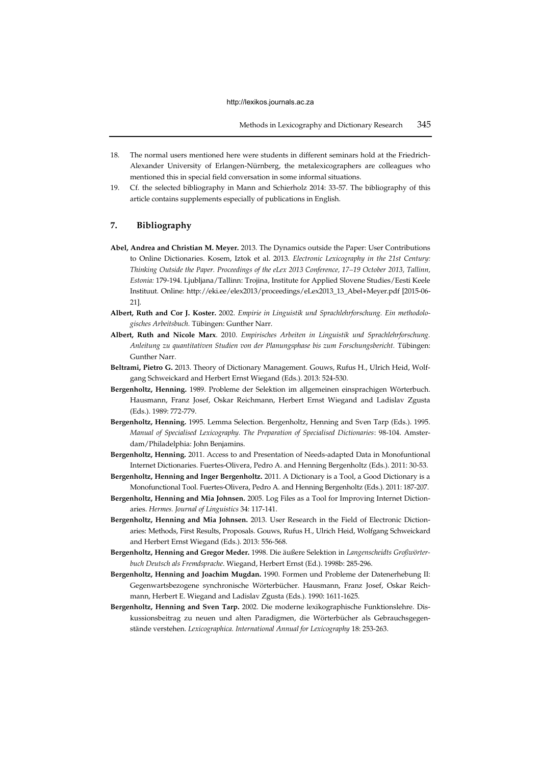- 18. The normal users mentioned here were students in different seminars hold at the Friedrich-Alexander University of Erlangen-Nürnberg, the metalexicographers are colleagues who mentioned this in special field conversation in some informal situations.
- 19. Cf. the selected bibliography in Mann and Schierholz 2014: 33-57. The bibliography of this article contains supplements especially of publications in English.

# **7. Bibliography**

- **Abel, Andrea and Christian M. Meyer.** 2013. The Dynamics outside the Paper: User Contributions to Online Dictionaries. Kosem, Iztok et al. 2013. *Electronic Lexicography in the 21st Century: Thinking Outside the Paper. Proceedings of the eLex 2013 Conference, 17–19 October 2013, Tallinn, Estonia:* 179-194. Ljubljana/Tallinn: Trojina, Institute for Applied Slovene Studies/Eesti Keele Instituut. Online: http://eki.ee/elex2013/proceedings/eLex2013\_13\_Abel+Meyer.pdf [2015-06- 21].
- **Albert, Ruth and Cor J. Koster.** 2002. *Empirie in Linguistik und Sprachlehrforschung. Ein methodologisches Arbeitsbuch.* Tübingen: Gunther Narr.
- **Albert, Ruth and Nicole Marx**. 2010. *Empirisches Arbeiten in Linguistik und Sprachlehrforschung. Anleitung zu quantitativen Studien von der Planungsphase bis zum Forschungsbericht.* Tübingen: Gunther Narr.
- **Beltrami, Pietro G.** 2013. Theory of Dictionary Management. Gouws, Rufus H., Ulrich Heid, Wolfgang Schweickard and Herbert Ernst Wiegand (Eds.). 2013: 524-530.
- **Bergenholtz, Henning.** 1989. Probleme der Selektion im allgemeinen einsprachigen Wörterbuch. Hausmann, Franz Josef, Oskar Reichmann, Herbert Ernst Wiegand and Ladislav Zgusta (Eds.). 1989: 772-779.
- **Bergenholtz, Henning.** 1995. Lemma Selection. Bergenholtz, Henning and Sven Tarp (Eds.). 1995. *Manual of Specialised Lexicography. The Preparation of Specialised Dictionaries*: 98-104. Amsterdam/Philadelphia: John Benjamins.
- **Bergenholtz, Henning.** 2011. Access to and Presentation of Needs-adapted Data in Monofuntional Internet Dictionaries. Fuertes-Olivera, Pedro A. and Henning Bergenholtz (Eds.). 2011: 30-53.
- **Bergenholtz, Henning and Inger Bergenholtz.** 2011. A Dictionary is a Tool, a Good Dictionary is a Monofunctional Tool. Fuertes-Olivera, Pedro A. and Henning Bergenholtz (Eds.). 2011: 187-207.
- **Bergenholtz, Henning and Mia Johnsen.** 2005. Log Files as a Tool for Improving Internet Dictionaries. *Hermes. Journal of Linguistics* 34: 117-141.
- **Bergenholtz, Henning and Mia Johnsen.** 2013. User Research in the Field of Electronic Dictionaries: Methods, First Results, Proposals. Gouws, Rufus H., Ulrich Heid, Wolfgang Schweickard and Herbert Ernst Wiegand (Eds.). 2013: 556-568.
- **Bergenholtz, Henning and Gregor Meder.** 1998. Die äußere Selektion in *Langenscheidts Großwörterbuch Deutsch als Fremdsprache*. Wiegand, Herbert Ernst (Ed.). 1998b: 285-296.
- **Bergenholtz, Henning and Joachim Mugdan.** 1990. Formen und Probleme der Datenerhebung II: Gegenwartsbezogene synchronische Wörterbücher. Hausmann, Franz Josef, Oskar Reichmann, Herbert E. Wiegand and Ladislav Zgusta (Eds.). 1990: 1611-1625.
- **Bergenholtz, Henning and Sven Tarp.** 2002. Die moderne lexikographische Funktionslehre. Diskussionsbeitrag zu neuen und alten Paradigmen, die Wörterbücher als Gebrauchsgegenstände verstehen. *Lexicographica. International Annual for Lexicography* 18: 253-263.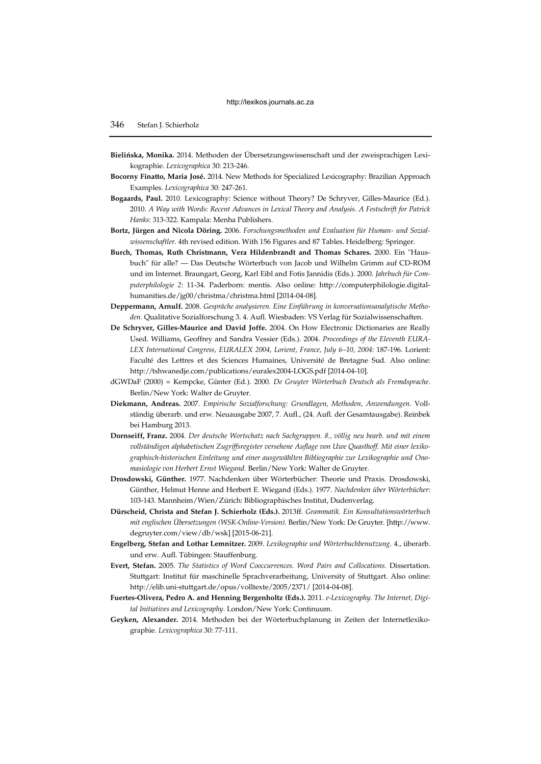- **Bielińska, Monika.** 2014. Methoden der Übersetzungswissenschaft und der zweisprachigen Lexikographie. *Lexicographica* 30: 213-246.
- **Bocorny Finatto, Maria José.** 2014. New Methods for Specialized Lexicography: Brazilian Approach Examples. *Lexicographica* 30: 247-261.
- **Bogaards, Paul.** 2010. Lexicography: Science without Theory? De Schryver, Gilles-Maurice (Ed.). 2010. *A Way with Words: Recent Advances in Lexical Theory and Analysis. A Festschrift for Patrick Hanks*: 313-322. Kampala: Menha Publishers.
- **Bortz, Jürgen and Nicola Döring.** 2006. *Forschungsmethoden und Evaluation für Human- und Sozialwissenschaftler.* 4th revised edition. With 156 Figures and 87 Tables. Heidelberg: Springer.
- **Burch, Thomas, Ruth Christmann, Vera Hildenbrandt and Thomas Schares.** 2000. Ein "Hausbuch" für alle? — Das Deutsche Wörterbuch von Jacob und Wilhelm Grimm auf CD-ROM und im Internet. Braungart, Georg, Karl Eibl and Fotis Jannidis (Eds.). 2000. *Jahrbuch für Computerphilologie 2*: 11-34. Paderborn: mentis. Also online: http://computerphilologie.digitalhumanities.de/jg00/christma/christma.html [2014-04-08].
- **Deppermann, Arnulf.** 2008. *Gespräche analysieren. Eine Einführung in konversationsanalytische Methoden.* Qualitative Sozialforschung 3. 4. Aufl. Wiesbaden: VS Verlag für Sozialwissenschaften.
- **De Schryver, Gilles-Maurice and David Joffe.** 2004. On How Electronic Dictionaries are Really Used. Williams, Geoffrey and Sandra Vessier (Eds.). 2004. *Proceedings of the Eleventh EURA-LEX International Congress, EURALEX 2004, Lorient, France, July 6–10, 2004*: 187-196. Lorient: Faculté des Lettres et des Sciences Humaines, Université de Bretagne Sud. Also online: http://tshwanedje.com/publications/euralex2004-LOGS.pdf [2014-04-10].
- dGWDaF (2000) = Kempcke, Günter (Ed.). 2000. *De Gruyter Wörterbuch Deutsch als Fremdsprache*. Berlin/New York: Walter de Gruyter.
- **Diekmann, Andreas.** 2007. *Empirische [Sozialforschung:](https://opac.sub.uni-goettingen.de/DB=1/SET=1/TTL=2/MAT=/NOMAT=T/CLK?IKT=1016&TRM=Sozialforschung) [Grundlagen,](https://opac.sub.uni-goettingen.de/DB=1/SET=1/TTL=2/MAT=/NOMAT=T/CLK?IKT=1016&TRM=Grundlagen,) [Methoden,](https://opac.sub.uni-goettingen.de/DB=1/SET=1/TTL=2/MAT=/NOMAT=T/CLK?IKT=1016&TRM=Methoden,) Anwendungen*. Vollständig überarb. und erw. Neuausgabe 2007, 7. Aufl., (24. Aufl. der Gesamtausgabe). Reinbek bei Hamburg 2013.
- **Dornseiff, Franz.** 2004*. Der deutsche Wortschatz nach Sachgruppen. 8., völlig neu bearb. und mit einem vollständigen alphabetischen Zugriffsregister versehene Auflage von Uwe Quasthoff. Mit einer lexikographisch-historischen Einleitung und einer ausgewählten Bibliographie zur Lexikographie und Onomasiologie von Herbert Ernst Wiegand.* Berlin/New York: Walter de Gruyter.
- **Drosdowski, Günther.** 1977. Nachdenken über Wörterbücher: Theorie und Praxis. Drosdowski, Günther, Helmut Henne and Herbert E. Wiegand (Eds.). 1977. *Nachdenken über Wörterbücher*: 103-143. Mannheim/Wien/Zürich: Bibliographisches Institut, Dudenverlag.
- **Dürscheid, Christa and Stefan J. Schierholz (Eds.).** 2013ff. *Grammatik. Ein Konsultationswörterbuch mit englischen Übersetzungen (WSK-Online-Version).* Berlin/New York: De Gruyter. [http://www. degruyter.com/view/db/wsk] [2015-06-21].
- **Engelberg, Stefan and Lothar Lemnitzer.** 2009. *Lexikographie und Wörterbuchbenutzung*. 4., überarb. und erw. Aufl. Tübingen: Stauffenburg.
- **Evert, Stefan.** 2005. *The Statistics of Word Cooccurrences. Word Pairs and Collocations.* Dissertation. Stuttgart: Institut für maschinelle Sprachverarbeitung, University of Stuttgart. Also online: http://elib.uni-stuttgart.de/opus/volltexte/2005/2371/ [2014-04-08].
- **Fuertes-Olivera, Pedro A. and Henning Bergenholtz (Eds.).** 2011. *e-Lexicography. The Internet, Digital Initiatives and Lexicography.* London/New York: Continuum.
- **Geyken, Alexander.** 2014. Methoden bei der Wörterbuchplanung in Zeiten der Internetlexikographie. *Lexicographica* 30: 77-111.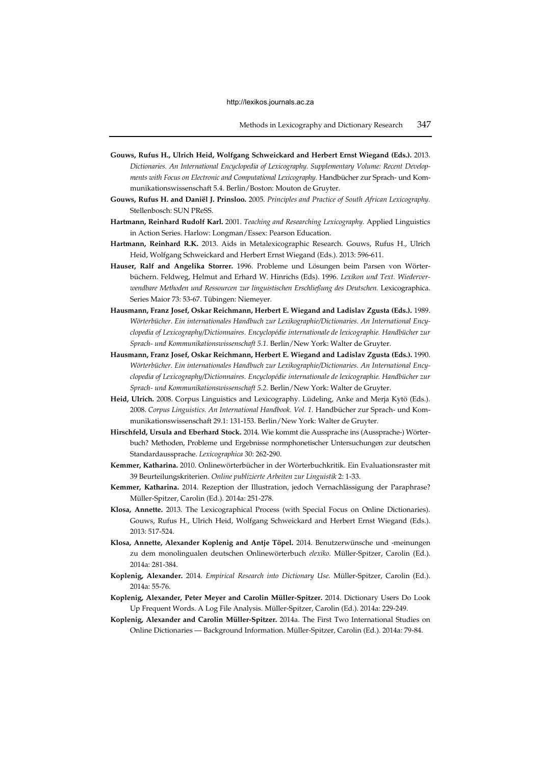- **Gouws, Rufus H., Ulrich Heid, Wolfgang Schweickard and Herbert Ernst Wiegand (Eds.).** 2013. *Dictionaries. An International Encyclopedia of Lexicography. Supplementary Volume: Recent Developments with Focus on Electronic and Computational Lexicography.* Handbücher zur Sprach- und Kommunikationswissenschaft 5.4. Berlin/Boston: Mouton de Gruyter.
- **Gouws, Rufus H. and Daniël J. Prinsloo.** 2005. *Principles and Practice of South African Lexicography.* Stellenbosch: SUN PReSS.
- **Hartmann, Reinhard Rudolf Karl.** 2001. *Teaching and Researching Lexicography.* Applied Linguistics in Action Series. Harlow: Longman/Essex: Pearson Education.
- **Hartmann, Reinhard R.K.** 2013. Aids in Metalexicographic Research. Gouws, Rufus H., Ulrich Heid, Wolfgang Schweickard and Herbert Ernst Wiegand (Eds.). 2013: 596-611.
- **Hauser, Ralf and Angelika Storrer.** 1996. Probleme und Lösungen beim Parsen von Wörterbüchern. Feldweg, Helmut and Erhard W. Hinrichs (Eds). 1996. *Lexikon und Text. Wiederverwendbare Methoden und Ressourcen zur linguistischen Erschließung des Deutschen.* Lexicographica. Series Maior 73: 53-67. Tübingen: Niemeyer.
- **Hausmann, Franz Josef, Oskar Reichmann, Herbert E. Wiegand and Ladislav Zgusta (Eds.).** 1989. *Wörterbücher. Ein internationales Handbuch zur Lexikographie/Dictionaries. An International Encyclopedia of Lexicography/Dictionnaires. Encyclopédie internationale de lexicographie. Handbücher zur Sprach- und Kommunikationswissenschaft 5.1.* Berlin/New York: Walter de Gruyter.
- **Hausmann, Franz Josef, Oskar Reichmann, Herbert E. Wiegand and Ladislav Zgusta (Eds.).** 1990. *Wörterbücher. Ein internationales Handbuch zur Lexikographie/Dictionaries. An International Encyclopedia of Lexicography/Dictionnaires. Encyclopédie internationale de lexicographie. Handbücher zur Sprach- und Kommunikationswissenschaft 5.2.* Berlin/New York: Walter de Gruyter.
- **Heid, Ulrich.** 2008. Corpus Linguistics and Lexicography. Lüdeling, Anke and Merja Kytö (Eds.). 2008. *Corpus Linguistics. An International Handbook. Vol. 1.* Handbücher zur Sprach- und Kommunikationswissenschaft 29.1: 131-153. Berlin/New York: Walter de Gruyter.
- **Hirschfeld, Ursula and Eberhard Stock.** 2014. Wie kommt die Aussprache ins (Aussprache-) Wörterbuch? Methoden, Probleme und Ergebnisse normphonetischer Untersuchungen zur deutschen Standardaussprache. *Lexicographica* 30: 262-290.
- **Kemmer, Katharina.** 2010. Onlinewörterbücher in der Wörterbuchkritik. Ein Evaluationsraster mit 39 Beurteilungskriterien. *Online publizierte Arbeiten zur Linguistik* 2: 1-33.
- **Kemmer, Katharina.** 2014. Rezeption der Illustration, jedoch Vernachlässigung der Paraphrase? Müller-Spitzer, Carolin (Ed.). 2014a: 251-278.
- **Klosa, Annette.** 2013. The Lexicographical Process (with Special Focus on Online Dictionaries). Gouws, Rufus H., Ulrich Heid, Wolfgang Schweickard and Herbert Ernst Wiegand (Eds.). 2013: 517-524.
- **Klosa, Annette, Alexander Koplenig and Antje Töpel.** 2014. Benutzerwünsche und -meinungen zu dem monolingualen deutschen Onlinewörterbuch *elexiko*. Müller-Spitzer, Carolin (Ed.). 2014a: 281-384.
- **Koplenig, Alexander.** 2014. *Empirical Research into Dictionary Use.* Müller-Spitzer, Carolin (Ed.). 2014a: 55-76.
- **Koplenig, Alexander, Peter Meyer and Carolin Müller-Spitzer.** 2014. Dictionary Users Do Look Up Frequent Words. A Log File Analysis. Müller-Spitzer, Carolin (Ed.). 2014a: 229-249.
- **Koplenig, Alexander and Carolin Müller-Spitzer.** 2014a. The First Two International Studies on Online Dictionaries — Background Information. Müller-Spitzer, Carolin (Ed.). 2014a: 79-84.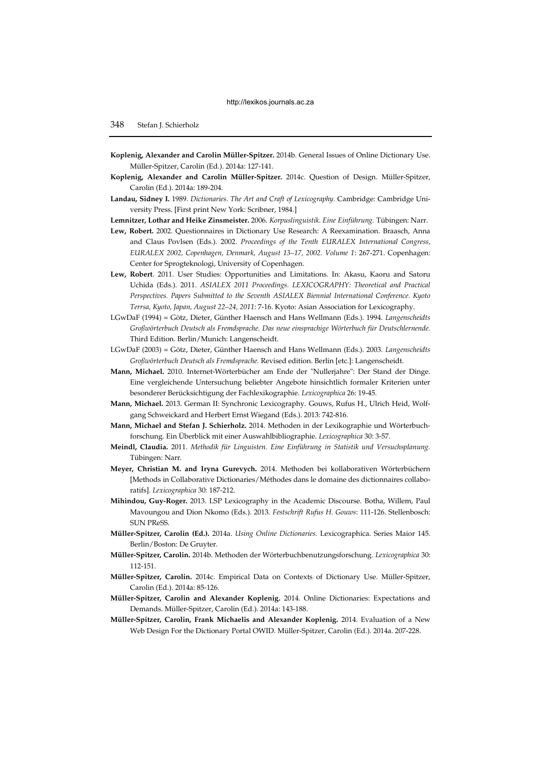- **Koplenig, Alexander and Carolin Müller-Spitzer.** 2014b. General Issues of Online Dictionary Use. Müller-Spitzer, Carolin (Ed.). 2014a: 127-141.
- **Koplenig, Alexander and Carolin Müller-Spitzer.** 2014c. Question of Design. Müller-Spitzer, Carolin (Ed.). 2014a: 189-204.
- **Landau, Sidney I.** 1989. *Dictionaries. The Art and Craft of Lexicography.* Cambridge: Cambridge University Press. [First print New York: Scribner, 1984.]
- **Lemnitzer, Lothar and Heike Zinsmeister.** 2006. *Korpuslinguistik. Eine Einführung.* Tübingen: Narr.
- **Lew, Robert.** 2002. Questionnaires in Dictionary Use Research: A Reexamination. Braasch, Anna and Claus Povlsen (Eds.). 2002. *Proceedings of the Tenth EURALEX International Congress, EURALEX 2002, Copenhagen, Denmark, August 13–17, 2002. Volume 1*: 267-271. Copenhagen: Center for Sprogteknologi, University of Copenhagen.
- **Lew, Robert**. 2011. User Studies: Opportunities and Limitations. In: Akasu, Kaoru and Satoru Uchida (Eds.). 2011. *ASIALEX 2011 Proceedings. LEXICOGRAPHY: Theoretical and Practical Perspectives. Papers Submitted to the Seventh ASIALEX Biennial International Conference. Kyoto Terrsa, Kyoto, Japan, August 22–24, 2011*: 7-16. Kyoto: Asian Association for Lexicography.
- LGwDaF (1994) = Götz, Dieter, Günther Haensch and Hans Wellmann (Eds.). 1994. *Langenscheidts Großwörterbuch Deutsch als Fremdsprache. Das neue einsprachige Wörterbuch für Deutschlernende.*  Third Edition. Berlin/Munich: Langenscheidt.
- LGwDaF (2003) = Götz, Dieter, Günther Haensch and Hans Wellmann (Eds.). 2003. *Langenscheidts Großwörterbuch Deutsch als Fremdsprache.* Revised edition. Berlin [etc.]: Langenscheidt.
- **Mann, Michael.** 2010. Internet-Wörterbücher am Ende der "Nullerjahre": Der Stand der Dinge. Eine vergleichende Untersuchung beliebter Angebote hinsichtlich formaler Kriterien unter besonderer Berücksichtigung der Fachlexikographie. *Lexicographica* 26: 19-45.
- **Mann, Michael.** 2013. German II: Synchronic Lexicography. Gouws, Rufus H., Ulrich Heid, Wolfgang Schweickard and Herbert Ernst Wiegand (Eds.). 2013: 742-816.
- **Mann, Michael and Stefan J. Schierholz.** 2014. Methoden in der Lexikographie und Wörterbuchforschung. Ein Überblick mit einer Auswahlbibliographie. *Lexicographica* 30: 3-57.
- **Meindl, Claudia.** 2011. *Methodik für Linguisten. Eine Einführung in Statistik und Versuchsplanung.*  Tübingen: Narr.
- **Meyer, Christian M. and Iryna Gurevych.** 2014. Methoden bei kollaborativen Wörterbüchern [Methods in Collaborative Dictionaries/Méthodes dans le domaine des dictionnaires collaboratifs]. *Lexicographica* 30: 187-212.
- **Mihindou, Guy-Roger.** 2013. LSP Lexicography in the Academic Discourse. Botha, Willem, Paul Mavoungou and Dion Nkomo (Eds.). 2013. *Festschrift Rufus H. Gouws*: 111-126. Stellenbosch: SUN PReSS.
- **Müller-Spitzer, Carolin (Ed.).** 2014a. *Using Online Dictionaries.* Lexicographica. Series Maior 145. Berlin/Boston: De Gruyter.
- **Müller-Spitzer, Carolin.** 2014b. Methoden der Wörterbuchbenutzungsforschung. *Lexicographica* 30: 112-151.
- **Müller-Spitzer, Carolin.** 2014c. Empirical Data on Contexts of Dictionary Use. Müller-Spitzer, Carolin (Ed.). 2014a: 85-126.
- **Müller-Spitzer, Carolin and Alexander Koplenig.** 2014. Online Dictionaries: Expectations and Demands. Müller-Spitzer, Carolin (Ed.). 2014a: 143-188.
- **Müller-Spitzer, Carolin, Frank Michaelis and Alexander Koplenig.** 2014. Evaluation of a New Web Design For the Dictionary Portal OWID. Müller-Spitzer, Carolin (Ed.). 2014a. 207-228.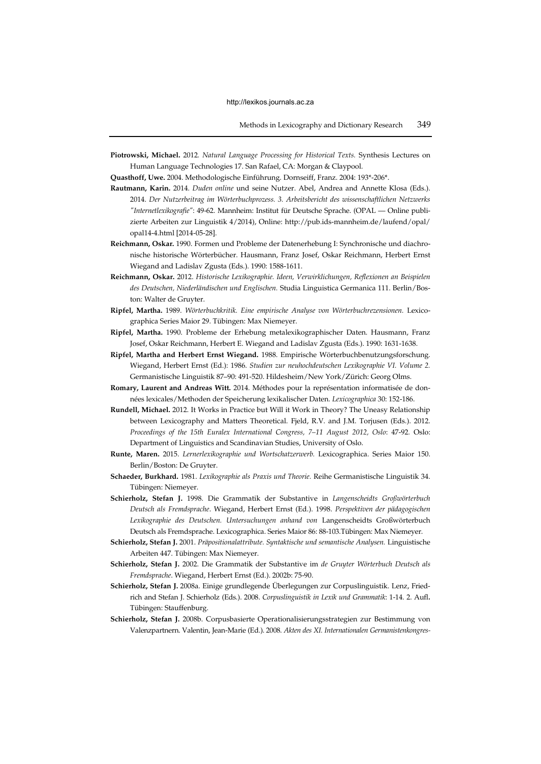**Piotrowski, Michael.** 2012*. Natural Language Processing for Historical Texts.* Synthesis Lectures on Human Language Technologies 17. San Rafael, CA: Morgan & Claypool.

**Quasthoff, Uwe.** 2004. Methodologische Einführung. Dornseiff, Franz. 2004: 193\*-206\*.

- **Rautmann, Karin.** 2014. *Duden online* und seine Nutzer. Abel, Andrea and Annette Klosa (Eds.). 2014. *Der Nutzerbeitrag im Wörterbuchprozess. 3. Arbeitsbericht des wissenschaftlichen Netzwerks "Internetlexikografie"*: 49-62. Mannheim: Institut für Deutsche Sprache. (OPAL — Online publizierte Arbeiten zur Linguistik 4/2014), Online: http://pub.ids-mannheim.de/laufend/opal/ opal14-4.html [2014-05-28].
- **Reichmann, Oskar.** 1990. Formen und Probleme der Datenerhebung I: Synchronische und diachronische historische Wörterbücher. Hausmann, Franz Josef, Oskar Reichmann, Herbert Ernst Wiegand and Ladislav Zgusta (Eds.). 1990: 1588-1611.
- **Reichmann, Oskar.** 2012. *Historische Lexikographie. Ideen, Verwirklichungen, Reflexionen an Beispielen des Deutschen, Niederländischen und Englischen.* Studia Linguistica Germanica 111. Berlin/Boston: Walter de Gruyter.
- **Ripfel, Martha.** 1989. *Wörterbuchkritik. Eine empirische Analyse von Wörterbuchrezensionen.* Lexicographica Series Maior 29. Tübingen: Max Niemeyer.
- **Ripfel, Martha.** 1990. Probleme der Erhebung metalexikographischer Daten. Hausmann, Franz Josef, Oskar Reichmann, Herbert E. Wiegand and Ladislav Zgusta (Eds.). 1990: 1631-1638.
- **Ripfel, Martha and Herbert Ernst Wiegand.** 1988. Empirische Wörterbuchbenutzungsforschung. Wiegand, Herbert Ernst (Ed.): 1986. *Studien zur neuhochdeutschen Lexikographie VI. Volume 2.* Germanistische Linguistik 87–90: 491-520. Hildesheim/New York/Zürich: Georg Olms.
- **Romary, Laurent and Andreas Witt.** 2014. Méthodes pour la représentation informatisée de données lexicales/Methoden der Speicherung lexikalischer Daten. *Lexicographica* 30: 152-186.
- **Rundell, Michael.** 2012. It Works in Practice but Will it Work in Theory? The Uneasy Relationship between Lexicography and Matters Theoretical. Fjeld, R.V. and J.M. Torjusen (Eds.). 2012. *Proceedings of the 15th Euralex International Congress, 7–11 August 2012, Oslo*: 47-92*.* Oslo: Department of Linguistics and Scandinavian Studies, University of Oslo.
- **Runte, Maren.** 2015. *Lernerlexikographie und Wortschatzerwerb.* Lexicographica. Series Maior 150. Berlin/Boston: De Gruyter.
- **Schaeder, Burkhard.** 1981. *Lexikographie als Praxis und Theorie.* Reihe Germanistische Linguistik 34. Tübingen: Niemeyer.
- **Schierholz, Stefan J.** 1998. Die Grammatik der Substantive in *Langenscheidts Großwörterbuch Deutsch als Fremdsprache*. Wiegand, Herbert Ernst (Ed.). 1998. *Perspektiven der pädagogischen Lexikographie des Deutschen. Untersuchungen anhand von* Langenscheidts Großwörterbuch Deutsch als Fremdsprache. Lexicographica. Series Maior 86: 88-103.Tübingen: Max Niemeyer.
- **Schierholz, Stefan J.** 2001. *Präpositionalattribute. Syntaktische und semantische Analysen.* Linguistische Arbeiten 447. Tübingen: Max Niemeyer.
- **Schierholz, Stefan J.** 2002. Die Grammatik der Substantive im *de Gruyter Wörterbuch Deutsch als Fremdsprache*. Wiegand, Herbert Ernst (Ed.). 2002b: 75-90.
- **Schierholz, Stefan J.** 2008a. Einige grundlegende Überlegungen zur Corpuslinguistik. Lenz, Friedrich and Stefan J. Schierholz (Eds.). 2008. *Corpuslinguistik in Lexik und Grammatik*: 1-14. 2. Aufl. Tübingen: Stauffenburg.
- **Schierholz, Stefan J.** 2008b. Corpusbasierte Operationalisierungsstrategien zur Bestimmung von Valenzpartnern. Valentin, Jean-Marie (Ed.). 2008. *Akten des XI. Internationalen Germanistenkongres-*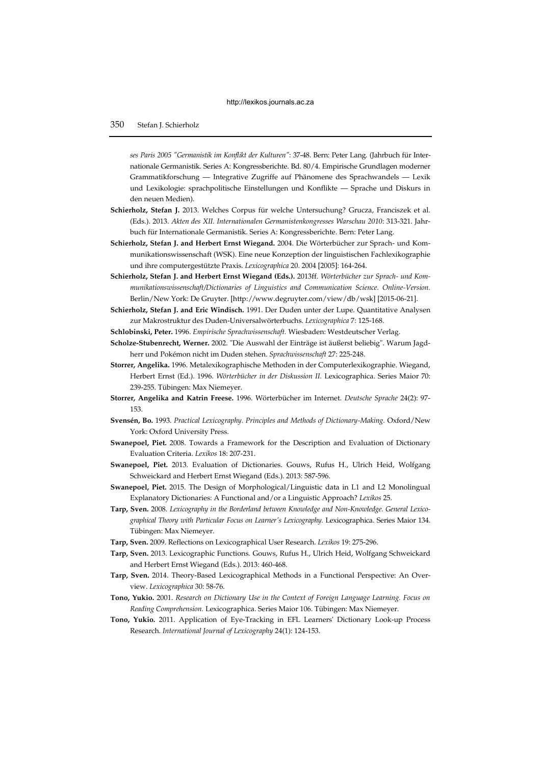*ses Paris 2005 "Germanistik im Konflikt der Kulturen"*: 37-48. Bern: Peter Lang. (Jahrbuch für Internationale Germanistik. Series A: Kongressberichte. Bd. 80/4. Empirische Grundlagen moderner Grammatikforschung — Integrative Zugriffe auf Phänomene des Sprachwandels — Lexik und Lexikologie: sprachpolitische Einstellungen und Konflikte — Sprache und Diskurs in den neuen Medien).

- **Schierholz, Stefan J.** 2013. Welches Corpus für welche Untersuchung? Grucza, Franciszek et al. (Eds.). 2013. *Akten des XII. Internationalen Germanistenkongresses Warschau 2010*: 313-321. Jahrbuch für Internationale Germanistik. Series A: Kongressberichte. Bern: Peter Lang.
- **Schierholz, Stefan J. and Herbert Ernst Wiegand.** 2004. Die Wörterbücher zur Sprach- und Kommunikationswissenschaft (WSK). Eine neue Konzeption der linguistischen Fachlexikographie und ihre computergestützte Praxis. *Lexicographica* 20. 2004 [2005]: 164-264.
- **Schierholz, Stefan J. and Herbert Ernst Wiegand (Eds.).** 2013ff. *Wörterbücher zur Sprach- und Kommunikationswissenschaft/Dictionaries of Linguistics and Communication Science. Online-Version.* Berlin/New York: De Gruyter. [http://www.degruyter.com/view/db/wsk] [2015-06-21].
- **Schierholz, Stefan J. and Eric Windisch.** 1991. Der Duden unter der Lupe. Quantitative Analysen zur Makrostruktur des Duden-Universalwörterbuchs. *Lexicographica* 7: 125-168.
- **Schlobinski, Peter.** 1996. *Empirische Sprachwissenschaft.* Wiesbaden: Westdeutscher Verlag.
- **Scholze-Stubenrecht, Werner.** 2002. "Die Auswahl der Einträge ist äußerst beliebig". Warum Jagdherr und Pokémon nicht im Duden stehen. *Sprachwissenschaft* 27: 225-248.
- **Storrer, Angelika.** 1996. Metalexikographische Methoden in der Computerlexikographie. Wiegand, Herbert Ernst (Ed.). 1996. *Wörterbücher in der Diskussion II.* Lexicographica. Series Maior 70: 239-255. Tübingen: Max Niemeyer.
- **Storrer, Angelika and Katrin Freese.** 1996. Wörterbücher im Internet. *Deutsche Sprache* 24(2): 97- 153.
- **Svensén, Bo.** 1993. *Practical Lexicography. Principles and Methods of Dictionary-Making.* Oxford/New York: Oxford University Press.
- **Swanepoel, Piet.** 2008. Towards a Framework for the Description and Evaluation of Dictionary Evaluation Criteria. *Lexikos* 18: 207-231.
- **Swanepoel, Piet.** 2013. Evaluation of Dictionaries. Gouws, Rufus H., Ulrich Heid, Wolfgang Schweickard and Herbert Ernst Wiegand (Eds.). 2013: 587-596.
- **Swanepoel, Piet.** 2015. The Design of Morphological/Linguistic data in L1 and L2 Monolingual Explanatory Dictionaries: A Functional and/or a Linguistic Approach? *Lexikos* 25.
- **Tarp, Sven.** 2008. *Lexicography in the Borderland between Knowledge and Non-Knowledge. General Lexicographical Theory with Particular Focus on Learner's Lexicography.* Lexicographica. Series Maior 134. Tübingen: Max Niemeyer.
- **Tarp, Sven.** 2009. Reflections on Lexicographical User Research. *Lexikos* 19: 275-296.
- **Tarp, Sven.** 2013. Lexicographic Functions. Gouws, Rufus H., Ulrich Heid, Wolfgang Schweickard and Herbert Ernst Wiegand (Eds.). 2013: 460-468.
- **Tarp, Sven.** 2014. Theory-Based Lexicographical Methods in a Functional Perspective: An Overview. *Lexicographica* 30: 58-76.
- **Tono, Yukio.** 2001. *Research on Dictionary Use in the Context of Foreign Language Learning. Focus on Reading Comprehension.* Lexicographica. Series Maior 106. Tübingen: Max Niemeyer.
- **Tono, Yukio.** 2011. Application of Eye-Tracking in EFL Learners' Dictionary Look-up Process Research. *International Journal of Lexicography* 24(1): 124-153.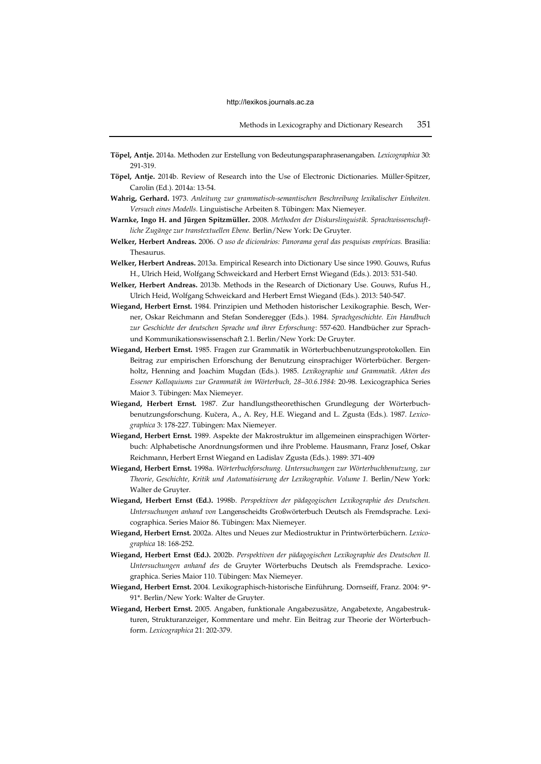- **Töpel, Antje.** 2014a. Methoden zur Erstellung von Bedeutungsparaphrasenangaben. *Lexicographica* 30: 291-319.
- **Töpel, Antje.** 2014b. Review of Research into the Use of Electronic Dictionaries. Müller-Spitzer, Carolin (Ed.). 2014a: 13-54.
- **Wahrig, Gerhard.** 1973. *Anleitung zur grammatisch-semantischen Beschreibung lexikalischer Einheiten. Versuch eines Modells.* Linguistische Arbeiten 8. Tübingen: Max Niemeyer.
- **Warnke, Ingo H. and Jürgen Spitzmüller.** 2008. *Methoden der Diskurslinguistik. Sprachwissenschaftliche Zugänge zur transtextuellen Ebene.* Berlin/New York: De Gruyter.
- **Welker, Herbert Andreas.** 2006. *O uso de dicionários: Panorama geral das pesquisas empíricas.* Brasilia: Thesaurus.
- **Welker, Herbert Andreas.** 2013a. Empirical Research into Dictionary Use since 1990. Gouws, Rufus H., Ulrich Heid, Wolfgang Schweickard and Herbert Ernst Wiegand (Eds.). 2013: 531-540.
- **Welker, Herbert Andreas.** 2013b. Methods in the Research of Dictionary Use. Gouws, Rufus H., Ulrich Heid, Wolfgang Schweickard and Herbert Ernst Wiegand (Eds.). 2013: 540-547.
- **Wiegand, Herbert Ernst.** 1984. Prinzipien und Methoden historischer Lexikographie. Besch, Werner, Oskar Reichmann and Stefan Sonderegger (Eds.). 1984. *Sprachgeschichte. Ein Handbuch zur Geschichte der deutschen Sprache und ihrer Erforschung*: 557-620. Handbücher zur Sprachund Kommunikationswissenschaft 2.1. Berlin/New York: De Gruyter.
- **Wiegand, Herbert Ernst.** 1985. Fragen zur Grammatik in Wörterbuchbenutzungsprotokollen. Ein Beitrag zur empirischen Erforschung der Benutzung einsprachiger Wörterbücher. Bergenholtz, Henning and Joachim Mugdan (Eds.). 1985. *Lexikographie und Grammatik*. *Akten des Essener Kolloquiums zur Grammatik im Wörterbuch, 28–30.6.1984*: 20-98*.* Lexicographica Series Maior 3. Tübingen: Max Niemeyer.
- **Wiegand, Herbert Ernst.** 1987. Zur handlungstheorethischen Grundlegung der Wörterbuchbenutzungsforschung. Kucera, A., A. Rey, H.E. Wiegand and L. Zgusta (Eds.). 1987. *Lexicographica* 3: 178-227. Tübingen: Max Niemeyer.
- **Wiegand, Herbert Ernst.** 1989. Aspekte der Makrostruktur im allgemeinen einsprachigen Wörterbuch: Alphabetische Anordnungsformen und ihre Probleme. Hausmann, Franz Josef, Oskar Reichmann, Herbert Ernst Wiegand en Ladislav Zgusta (Eds.). 1989: 371-409
- **Wiegand, Herbert Ernst.** 1998a. *Wörterbuchforschung. Untersuchungen zur Wörterbuchbenutzung, zur Theorie, Geschichte, Kritik und Automatisierung der Lexikographie. Volume 1.* Berlin/New York: Walter de Gruyter.
- **Wiegand, Herbert Ernst (Ed.).** 1998b. *Perspektiven der pädagogischen Lexikographie des Deutschen. Untersuchungen anhand von* Langenscheidts Großwörterbuch Deutsch als Fremdsprache. Lexicographica. Series Maior 86. Tübingen: Max Niemeyer.
- **Wiegand, Herbert Ernst.** 2002a. Altes und Neues zur Mediostruktur in Printwörterbüchern. *Lexicographica* 18: 168-252.
- **Wiegand, Herbert Ernst (Ed.).** 2002b. *Perspektiven der pädagogischen Lexikographie des Deutschen II. Untersuchungen anhand des* de Gruyter Wörterbuchs Deutsch als Fremdsprache. Lexicographica. Series Maior 110. Tübingen: Max Niemeyer.
- **Wiegand, Herbert Ernst.** 2004. Lexikographisch-historische Einführung. Dornseiff, Franz. 2004: 9\*- 91\*. Berlin/New York: Walter de Gruyter.
- **Wiegand, Herbert Ernst.** 2005. Angaben, funktionale Angabezusätze, Angabetexte, Angabestrukturen, Strukturanzeiger, Kommentare und mehr. Ein Beitrag zur Theorie der Wörterbuchform. *Lexicographica* 21: 202-379.